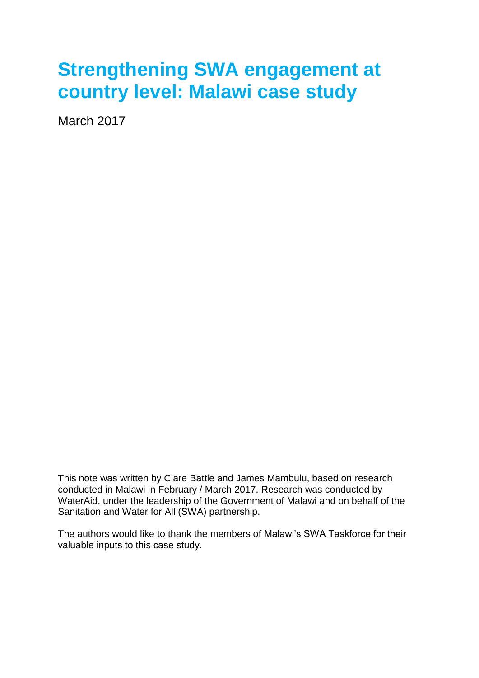# **Strengthening SWA engagement at country level: Malawi case study**

March 2017

This note was written by Clare Battle and James Mambulu, based on research conducted in Malawi in February / March 2017. Research was conducted by WaterAid, under the leadership of the Government of Malawi and on behalf of the Sanitation and Water for All (SWA) partnership.

The authors would like to thank the members of Malawi's SWA Taskforce for their valuable inputs to this case study.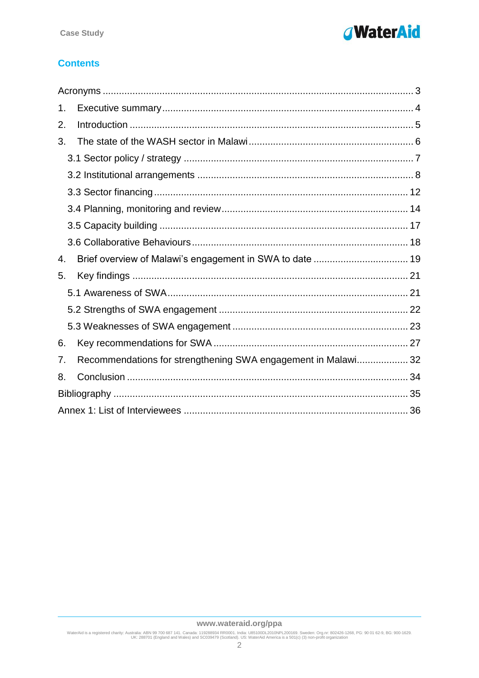

# **Contents**

| 1. |                                                               |  |  |
|----|---------------------------------------------------------------|--|--|
| 2. |                                                               |  |  |
| 3. |                                                               |  |  |
|    |                                                               |  |  |
|    |                                                               |  |  |
|    |                                                               |  |  |
|    |                                                               |  |  |
|    |                                                               |  |  |
|    |                                                               |  |  |
| 4. |                                                               |  |  |
| 5. |                                                               |  |  |
|    |                                                               |  |  |
|    |                                                               |  |  |
|    |                                                               |  |  |
| 6. |                                                               |  |  |
| 7. | Recommendations for strengthening SWA engagement in Malawi 32 |  |  |
| 8. |                                                               |  |  |
|    |                                                               |  |  |
|    |                                                               |  |  |

WaterAid is a registered charity: Australia: ABN 99 700 687 141. Canada: 119288934 RR0001. India: U85100DL2010NPL200169. Sweden: Org.nr: 802426-1268, PG: 90 01 62-9, BG: 900-1629.<br>UK: 288701 (England and Wales) and SC0394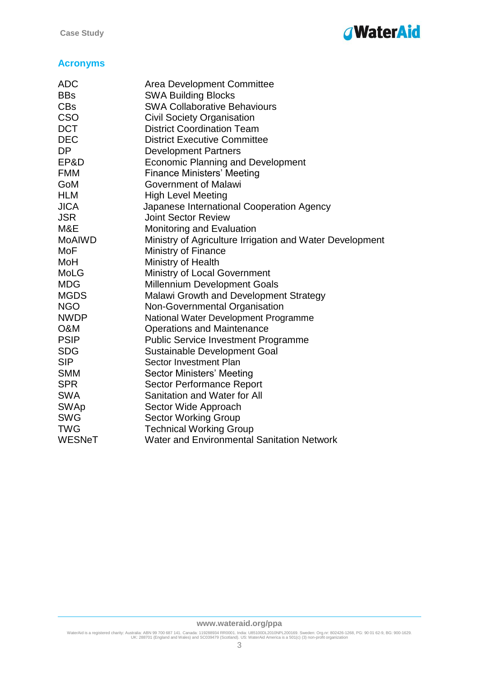

# <span id="page-2-0"></span>**Acronyms**

| <b>ADC</b>    | Area Development Committee                               |
|---------------|----------------------------------------------------------|
| <b>BBs</b>    | <b>SWA Building Blocks</b>                               |
| <b>CBs</b>    | <b>SWA Collaborative Behaviours</b>                      |
| <b>CSO</b>    | <b>Civil Society Organisation</b>                        |
| <b>DCT</b>    | <b>District Coordination Team</b>                        |
| <b>DEC</b>    | <b>District Executive Committee</b>                      |
| <b>DP</b>     | <b>Development Partners</b>                              |
| EP&D          | <b>Economic Planning and Development</b>                 |
| <b>FMM</b>    | <b>Finance Ministers' Meeting</b>                        |
| GoM           | Government of Malawi                                     |
| <b>HLM</b>    | <b>High Level Meeting</b>                                |
| <b>JICA</b>   | Japanese International Cooperation Agency                |
| <b>JSR</b>    | <b>Joint Sector Review</b>                               |
| M&E           | Monitoring and Evaluation                                |
| <b>MoAIWD</b> | Ministry of Agriculture Irrigation and Water Development |
| MoF           | <b>Ministry of Finance</b>                               |
| MoH           | Ministry of Health                                       |
| MoLG          | <b>Ministry of Local Government</b>                      |
| <b>MDG</b>    | <b>Millennium Development Goals</b>                      |
| <b>MGDS</b>   | <b>Malawi Growth and Development Strategy</b>            |
| <b>NGO</b>    | Non-Governmental Organisation                            |
| <b>NWDP</b>   | National Water Development Programme                     |
| O&M           | <b>Operations and Maintenance</b>                        |
| <b>PSIP</b>   | <b>Public Service Investment Programme</b>               |
| <b>SDG</b>    | <b>Sustainable Development Goal</b>                      |
| <b>SIP</b>    | Sector Investment Plan                                   |
| <b>SMM</b>    | Sector Ministers' Meeting                                |
| <b>SPR</b>    | Sector Performance Report                                |
| <b>SWA</b>    | Sanitation and Water for All                             |
| <b>SWAp</b>   | Sector Wide Approach                                     |
| <b>SWG</b>    | <b>Sector Working Group</b>                              |
| <b>TWG</b>    | <b>Technical Working Group</b>                           |
| <b>WESNeT</b> | <b>Water and Environmental Sanitation Network</b>        |
|               |                                                          |

#### **www.wateraid.org/ppa**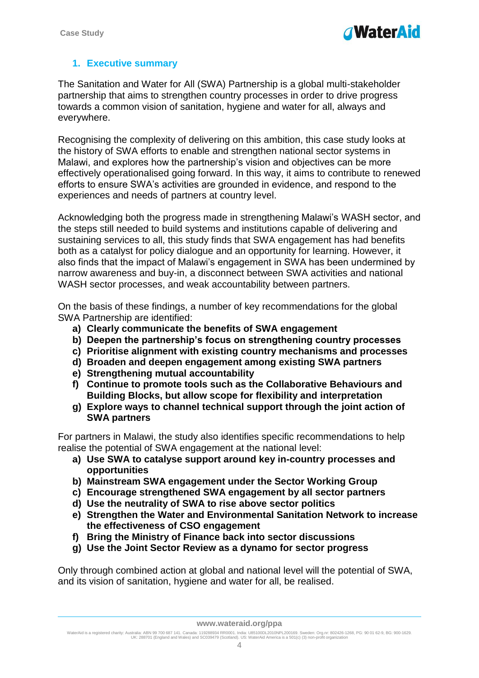# <span id="page-3-0"></span>**1. Executive summary**

The Sanitation and Water for All (SWA) Partnership is a global multi-stakeholder partnership that aims to strengthen country processes in order to drive progress towards a common vision of sanitation, hygiene and water for all, always and everywhere.

Recognising the complexity of delivering on this ambition, this case study looks at the history of SWA efforts to enable and strengthen national sector systems in Malawi, and explores how the partnership's vision and objectives can be more effectively operationalised going forward. In this way, it aims to contribute to renewed efforts to ensure SWA's activities are grounded in evidence, and respond to the experiences and needs of partners at country level.

Acknowledging both the progress made in strengthening Malawi's WASH sector, and the steps still needed to build systems and institutions capable of delivering and sustaining services to all, this study finds that SWA engagement has had benefits both as a catalyst for policy dialogue and an opportunity for learning. However, it also finds that the impact of Malawi's engagement in SWA has been undermined by narrow awareness and buy-in, a disconnect between SWA activities and national WASH sector processes, and weak accountability between partners.

On the basis of these findings, a number of key recommendations for the global SWA Partnership are identified:

- **a) Clearly communicate the benefits of SWA engagement**
- **b) Deepen the partnership's focus on strengthening country processes**
- **c) Prioritise alignment with existing country mechanisms and processes**
- **d) Broaden and deepen engagement among existing SWA partners**
- **e) Strengthening mutual accountability**
- **f) Continue to promote tools such as the Collaborative Behaviours and Building Blocks, but allow scope for flexibility and interpretation**
- **g) Explore ways to channel technical support through the joint action of SWA partners**

For partners in Malawi, the study also identifies specific recommendations to help realise the potential of SWA engagement at the national level:

- **a) Use SWA to catalyse support around key in-country processes and opportunities**
- **b) Mainstream SWA engagement under the Sector Working Group**
- **c) Encourage strengthened SWA engagement by all sector partners**
- **d) Use the neutrality of SWA to rise above sector politics**
- **e) Strengthen the Water and Environmental Sanitation Network to increase the effectiveness of CSO engagement**
- **f) Bring the Ministry of Finance back into sector discussions**
- **g) Use the Joint Sector Review as a dynamo for sector progress**

Only through combined action at global and national level will the potential of SWA, and its vision of sanitation, hygiene and water for all, be realised.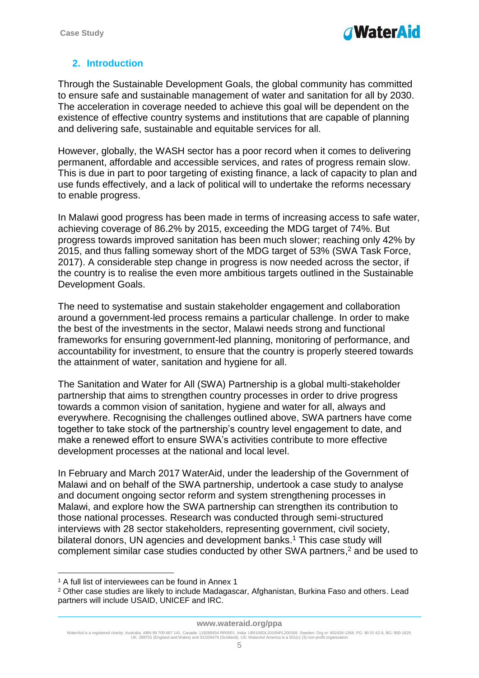# <span id="page-4-0"></span>**2. Introduction**

Through the Sustainable Development Goals, the global community has committed to ensure safe and sustainable management of water and sanitation for all by 2030. The acceleration in coverage needed to achieve this goal will be dependent on the existence of effective country systems and institutions that are capable of planning and delivering safe, sustainable and equitable services for all.

However, globally, the WASH sector has a poor record when it comes to delivering permanent, affordable and accessible services, and rates of progress remain slow. This is due in part to poor targeting of existing finance, a lack of capacity to plan and use funds effectively, and a lack of political will to undertake the reforms necessary to enable progress.

In Malawi good progress has been made in terms of increasing access to safe water, achieving coverage of 86.2% by 2015, exceeding the MDG target of 74%. But progress towards improved sanitation has been much slower; reaching only 42% by 2015, and thus falling someway short of the MDG target of 53% (SWA Task Force, 2017). A considerable step change in progress is now needed across the sector, if the country is to realise the even more ambitious targets outlined in the Sustainable Development Goals.

The need to systematise and sustain stakeholder engagement and collaboration around a government-led process remains a particular challenge. In order to make the best of the investments in the sector, Malawi needs strong and functional frameworks for ensuring government-led planning, monitoring of performance, and accountability for investment, to ensure that the country is properly steered towards the attainment of water, sanitation and hygiene for all.

The Sanitation and Water for All (SWA) Partnership is a global multi-stakeholder partnership that aims to strengthen country processes in order to drive progress towards a common vision of sanitation, hygiene and water for all, always and everywhere. Recognising the challenges outlined above, SWA partners have come together to take stock of the partnership's country level engagement to date, and make a renewed effort to ensure SWA's activities contribute to more effective development processes at the national and local level.

In February and March 2017 WaterAid, under the leadership of the Government of Malawi and on behalf of the SWA partnership, undertook a case study to analyse and document ongoing sector reform and system strengthening processes in Malawi, and explore how the SWA partnership can strengthen its contribution to those national processes. Research was conducted through semi-structured interviews with 28 sector stakeholders, representing government, civil society, bilateral donors, UN agencies and development banks. <sup>1</sup> This case study will complement similar case studies conducted by other SWA partners, <sup>2</sup> and be used to

1

<sup>&</sup>lt;sup>1</sup> A full list of interviewees can be found in Annex 1

<sup>2</sup> Other case studies are likely to include Madagascar, Afghanistan, Burkina Faso and others. Lead partners will include USAID, UNICEF and IRC.

WaterAid is a registered charity: Australia: ABN 99 700 687 141. Canada: 119288934 RR0001. India: U85100DL2010NPL200169. Sweden: Org.nr: 802426-1268, PG: 90 01 62-9, BG: 900-1629.<br>UK: 288701 (England and Wales) and SC0394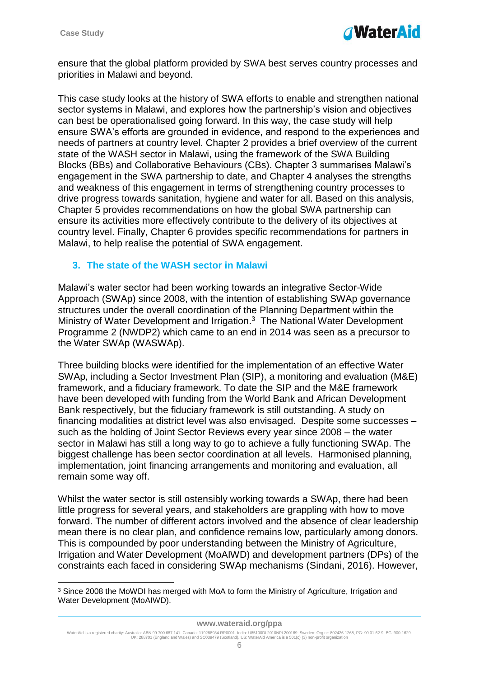1



ensure that the global platform provided by SWA best serves country processes and priorities in Malawi and beyond.

This case study looks at the history of SWA efforts to enable and strengthen national sector systems in Malawi, and explores how the partnership's vision and objectives can best be operationalised going forward. In this way, the case study will help ensure SWA's efforts are grounded in evidence, and respond to the experiences and needs of partners at country level. Chapter 2 provides a brief overview of the current state of the WASH sector in Malawi, using the framework of the SWA Building Blocks (BBs) and Collaborative Behaviours (CBs). Chapter 3 summarises Malawi's engagement in the SWA partnership to date, and Chapter 4 analyses the strengths and weakness of this engagement in terms of strengthening country processes to drive progress towards sanitation, hygiene and water for all. Based on this analysis, Chapter 5 provides recommendations on how the global SWA partnership can ensure its activities more effectively contribute to the delivery of its objectives at country level. Finally, Chapter 6 provides specific recommendations for partners in Malawi, to help realise the potential of SWA engagement.

#### <span id="page-5-0"></span>**3. The state of the WASH sector in Malawi**

Malawi's water sector had been working towards an integrative Sector-Wide Approach (SWAp) since 2008, with the intention of establishing SWAp governance structures under the overall coordination of the Planning Department within the Ministry of Water Development and Irrigation.<sup>3</sup> The National Water Development Programme 2 (NWDP2) which came to an end in 2014 was seen as a precursor to the Water SWAp (WASWAp).

Three building blocks were identified for the implementation of an effective Water SWAp, including a Sector Investment Plan (SIP), a monitoring and evaluation (M&E) framework, and a fiduciary framework. To date the SIP and the M&E framework have been developed with funding from the World Bank and African Development Bank respectively, but the fiduciary framework is still outstanding. A study on financing modalities at district level was also envisaged. Despite some successes – such as the holding of Joint Sector Reviews every year since 2008 – the water sector in Malawi has still a long way to go to achieve a fully functioning SWAp. The biggest challenge has been sector coordination at all levels. Harmonised planning, implementation, joint financing arrangements and monitoring and evaluation, all remain some way off.

Whilst the water sector is still ostensibly working towards a SWAp, there had been little progress for several years, and stakeholders are grappling with how to move forward. The number of different actors involved and the absence of clear leadership mean there is no clear plan, and confidence remains low, particularly among donors. This is compounded by poor understanding between the Ministry of Agriculture, Irrigation and Water Development (MoAIWD) and development partners (DPs) of the constraints each faced in considering SWAp mechanisms (Sindani, 2016). However,

<sup>&</sup>lt;sup>3</sup> Since 2008 the MoWDI has merged with MoA to form the Ministry of Agriculture, Irrigation and Water Development (MoAIWD).

WaterAid is a registered charity: Australia: ABN 99 700 687 141. Canada: 119288934 RR0001. India: U85100DL2010NPL200169. Sweden: Org.nr: 802426-1268, PG: 90 01 62-9, BG: 900-1629.<br>UK: 288701 (England and Wales) and SC0394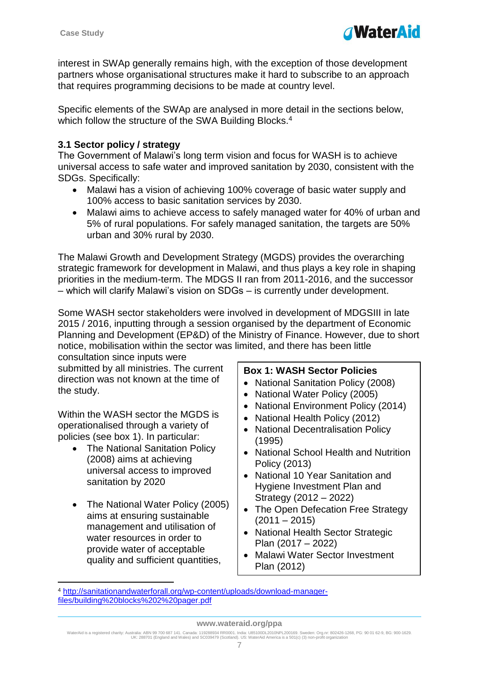

interest in SWAp generally remains high, with the exception of those development partners whose organisational structures make it hard to subscribe to an approach that requires programming decisions to be made at country level.

Specific elements of the SWAp are analysed in more detail in the sections below, which follow the structure of the SWA Building Blocks.<sup>4</sup>

## <span id="page-6-0"></span>**3.1 Sector policy / strategy**

The Government of Malawi's long term vision and focus for WASH is to achieve universal access to safe water and improved sanitation by 2030, consistent with the SDGs. Specifically:

- Malawi has a vision of achieving 100% coverage of basic water supply and 100% access to basic sanitation services by 2030.
- Malawi aims to achieve access to safely managed water for 40% of urban and 5% of rural populations. For safely managed sanitation, the targets are 50% urban and 30% rural by 2030.

The Malawi Growth and Development Strategy (MGDS) provides the overarching strategic framework for development in Malawi, and thus plays a key role in shaping priorities in the medium-term. The MDGS II ran from 2011-2016, and the successor – which will clarify Malawi's vision on SDGs – is currently under development.

Some WASH sector stakeholders were involved in development of MDGSIII in late 2015 / 2016, inputting through a session organised by the department of Economic Planning and Development (EP&D) of the Ministry of Finance. However, due to short notice, mobilisation within the sector was limited, and there has been little

consultation since inputs were submitted by all ministries. The current direction was not known at the time of the study.

Within the WASH sector the MGDS is operationalised through a variety of policies (see box 1). In particular:

- The National Sanitation Policy (2008) aims at achieving universal access to improved sanitation by 2020
- The National Water Policy (2005) aims at ensuring sustainable management and utilisation of water resources in order to provide water of acceptable quality and sufficient quantities,

1

## **Box 1: WASH Sector Policies**

- National Sanitation Policy (2008)
- National Water Policy (2005)
- National Environment Policy (2014)
- National Health Policy (2012)
- National Decentralisation Policy (1995)
- National School Health and Nutrition Policy (2013)
- National 10 Year Sanitation and Hygiene Investment Plan and Strategy (2012 – 2022)
- The Open Defecation Free Strategy  $(2011 - 2015)$
- National Health Sector Strategic Plan (2017 – 2022)
- Malawi Water Sector Investment Plan (2012)

<sup>4</sup> [http://sanitationandwaterforall.org/wp-content/uploads/download-manager](http://sanitationandwaterforall.org/wp-content/uploads/download-manager-files/building%20blocks%202%20pager.pdf)[files/building%20blocks%202%20pager.pdf](http://sanitationandwaterforall.org/wp-content/uploads/download-manager-files/building%20blocks%202%20pager.pdf)

WaterAid is a registered charity: Australia: ABN 99 700 687 141. Canada: 119288934 RR0001. India: U85100DL2010NPL200169. Sweden: Org.nr: 802426-1268, PG: 90 01 62-9, BG: 900-1629.<br>UK: 288701 (England and Wales) and SC0394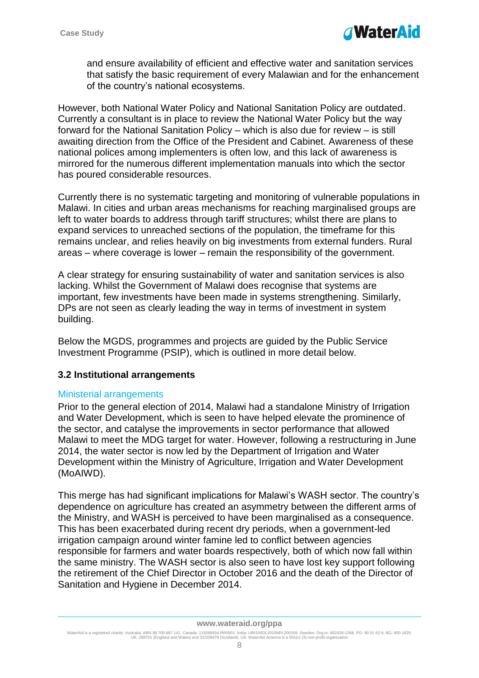

and ensure availability of efficient and effective water and sanitation services that satisfy the basic requirement of every Malawian and for the enhancement of the country's national ecosystems.

However, both National Water Policy and National Sanitation Policy are outdated. Currently a consultant is in place to review the National Water Policy but the way forward for the National Sanitation Policy – which is also due for review – is still awaiting direction from the Office of the President and Cabinet. Awareness of these national polices among implementers is often low, and this lack of awareness is mirrored for the numerous different implementation manuals into which the sector has poured considerable resources.

Currently there is no systematic targeting and monitoring of vulnerable populations in Malawi. In cities and urban areas mechanisms for reaching marginalised groups are left to water boards to address through tariff structures; whilst there are plans to expand services to unreached sections of the population, the timeframe for this remains unclear, and relies heavily on big investments from external funders. Rural areas – where coverage is lower – remain the responsibility of the government.

A clear strategy for ensuring sustainability of water and sanitation services is also lacking. Whilst the Government of Malawi does recognise that systems are important, few investments have been made in systems strengthening. Similarly, DPs are not seen as clearly leading the way in terms of investment in system building.

Below the MGDS, programmes and projects are guided by the Public Service Investment Programme (PSIP), which is outlined in more detail below.

## <span id="page-7-0"></span>**3.2 Institutional arrangements**

#### Ministerial arrangements

Prior to the general election of 2014, Malawi had a standalone Ministry of Irrigation and Water Development, which is seen to have helped elevate the prominence of the sector, and catalyse the improvements in sector performance that allowed Malawi to meet the MDG target for water. However, following a restructuring in June 2014, the water sector is now led by the Department of Irrigation and Water Development within the Ministry of Agriculture, Irrigation and Water Development (MoAIWD).

This merge has had significant implications for Malawi's WASH sector. The country's dependence on agriculture has created an asymmetry between the different arms of the Ministry, and WASH is perceived to have been marginalised as a consequence. This has been exacerbated during recent dry periods, when a government-led irrigation campaign around winter famine led to conflict between agencies responsible for farmers and water boards respectively, both of which now fall within the same ministry. The WASH sector is also seen to have lost key support following the retirement of the Chief Director in October 2016 and the death of the Director of Sanitation and Hygiene in December 2014.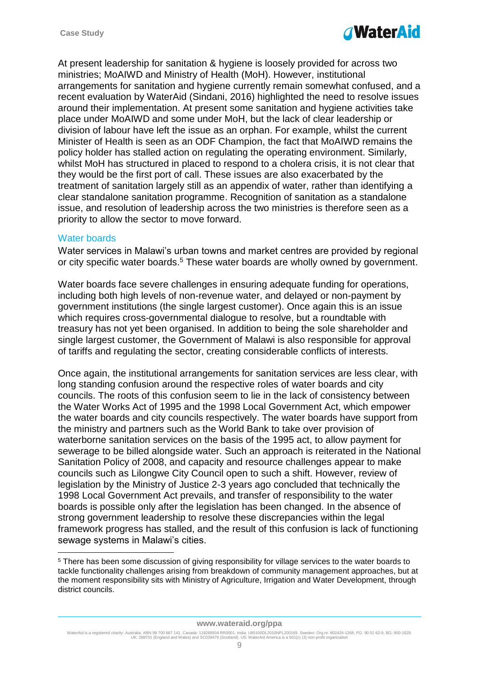

At present leadership for sanitation & hygiene is loosely provided for across two ministries; MoAIWD and Ministry of Health (MoH). However, institutional arrangements for sanitation and hygiene currently remain somewhat confused, and a recent evaluation by WaterAid (Sindani, 2016) highlighted the need to resolve issues around their implementation. At present some sanitation and hygiene activities take place under MoAIWD and some under MoH, but the lack of clear leadership or division of labour have left the issue as an orphan. For example, whilst the current Minister of Health is seen as an ODF Champion, the fact that MoAIWD remains the policy holder has stalled action on regulating the operating environment. Similarly, whilst MoH has structured in placed to respond to a cholera crisis, it is not clear that they would be the first port of call. These issues are also exacerbated by the treatment of sanitation largely still as an appendix of water, rather than identifying a clear standalone sanitation programme. Recognition of sanitation as a standalone issue, and resolution of leadership across the two ministries is therefore seen as a priority to allow the sector to move forward.

## Water boards

1

Water services in Malawi's urban towns and market centres are provided by regional or city specific water boards.<sup>5</sup> These water boards are wholly owned by government.

Water boards face severe challenges in ensuring adequate funding for operations, including both high levels of non-revenue water, and delayed or non-payment by government institutions (the single largest customer). Once again this is an issue which requires cross-governmental dialogue to resolve, but a roundtable with treasury has not yet been organised. In addition to being the sole shareholder and single largest customer, the Government of Malawi is also responsible for approval of tariffs and regulating the sector, creating considerable conflicts of interests.

Once again, the institutional arrangements for sanitation services are less clear, with long standing confusion around the respective roles of water boards and city councils. The roots of this confusion seem to lie in the lack of consistency between the Water Works Act of 1995 and the 1998 Local Government Act, which empower the water boards and city councils respectively. The water boards have support from the ministry and partners such as the World Bank to take over provision of waterborne sanitation services on the basis of the 1995 act, to allow payment for sewerage to be billed alongside water. Such an approach is reiterated in the National Sanitation Policy of 2008, and capacity and resource challenges appear to make councils such as Lilongwe City Council open to such a shift. However, review of legislation by the Ministry of Justice 2-3 years ago concluded that technically the 1998 Local Government Act prevails, and transfer of responsibility to the water boards is possible only after the legislation has been changed. In the absence of strong government leadership to resolve these discrepancies within the legal framework progress has stalled, and the result of this confusion is lack of functioning sewage systems in Malawi's cities.

<sup>5</sup> There has been some discussion of giving responsibility for village services to the water boards to tackle functionality challenges arising from breakdown of community management approaches, but at the moment responsibility sits with Ministry of Agriculture, Irrigation and Water Development, through district councils.

WaterAid is a registered charity: Australia: ABN 99 700 687 141. Canada: 119288934 RR0001. India: U85100DL2010NPL200169. Sweden: Org.nr: 802426-1268, PG: 90 01 62-9, BG: 900-1629.<br>UK: 288701 (England and Wales) and SC0394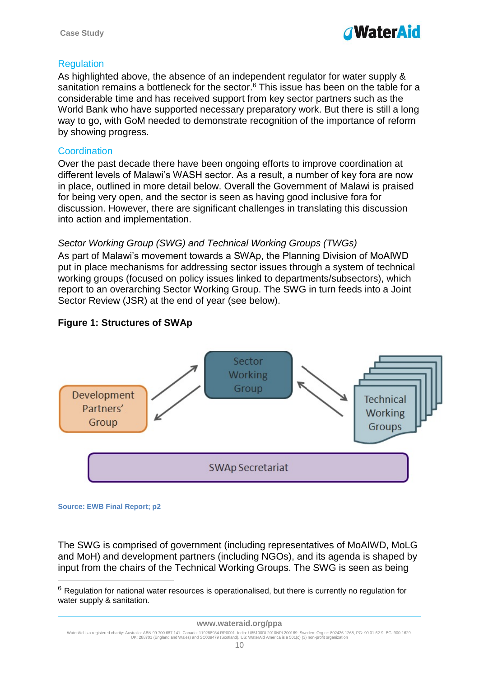

## **Regulation**

As highlighted above, the absence of an independent regulator for water supply & sanitation remains a bottleneck for the sector.<sup>6</sup> This issue has been on the table for a considerable time and has received support from key sector partners such as the World Bank who have supported necessary preparatory work. But there is still a long way to go, with GoM needed to demonstrate recognition of the importance of reform by showing progress.

## **Coordination**

Over the past decade there have been ongoing efforts to improve coordination at different levels of Malawi's WASH sector. As a result, a number of key fora are now in place, outlined in more detail below. Overall the Government of Malawi is praised for being very open, and the sector is seen as having good inclusive fora for discussion. However, there are significant challenges in translating this discussion into action and implementation.

# *Sector Working Group (SWG) and Technical Working Groups (TWGs)*

As part of Malawi's movement towards a SWAp, the Planning Division of MoAIWD put in place mechanisms for addressing sector issues through a system of technical working groups (focused on policy issues linked to departments/subsectors), which report to an overarching Sector Working Group. The SWG in turn feeds into a Joint Sector Review (JSR) at the end of year (see below).

# **Figure 1: Structures of SWAp**



#### **Source: EWB Final Report; p2**

<u>.</u>

The SWG is comprised of government (including representatives of MoAIWD, MoLG and MoH) and development partners (including NGOs), and its agenda is shaped by input from the chairs of the Technical Working Groups. The SWG is seen as being

 $6$  Regulation for national water resources is operationalised, but there is currently no regulation for water supply & sanitation.

WaterAid is a registered charity: Australia: ABN 99 700 687 141. Canada: 119288934 RR0001. India: U85100DL2010NPL200169. Sweden: Org.nr: 802426-1268, PG: 90 01 62-9, BG: 900-1629.<br>UK: 288701 (England and Wales) and SC0394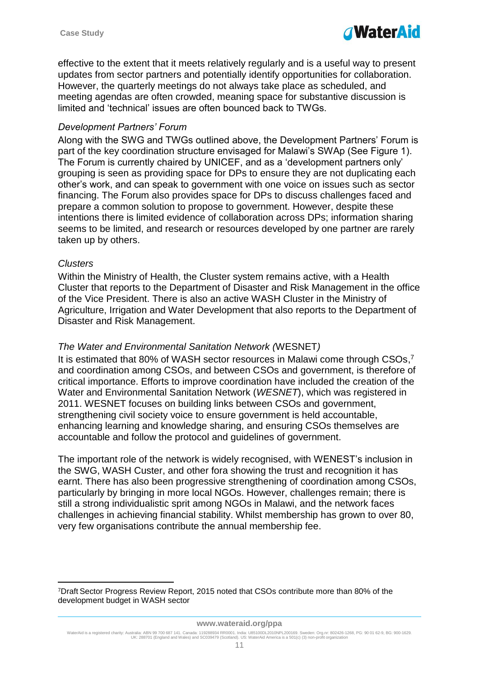

effective to the extent that it meets relatively regularly and is a useful way to present updates from sector partners and potentially identify opportunities for collaboration. However, the quarterly meetings do not always take place as scheduled, and meeting agendas are often crowded, meaning space for substantive discussion is limited and 'technical' issues are often bounced back to TWGs.

#### *Development Partners' Forum*

Along with the SWG and TWGs outlined above, the Development Partners' Forum is part of the key coordination structure envisaged for Malawi's SWAp (See Figure 1). The Forum is currently chaired by UNICEF, and as a 'development partners only' grouping is seen as providing space for DPs to ensure they are not duplicating each other's work, and can speak to government with one voice on issues such as sector financing. The Forum also provides space for DPs to discuss challenges faced and prepare a common solution to propose to government. However, despite these intentions there is limited evidence of collaboration across DPs; information sharing seems to be limited, and research or resources developed by one partner are rarely taken up by others.

#### *Clusters*

1

Within the Ministry of Health, the Cluster system remains active, with a Health Cluster that reports to the Department of Disaster and Risk Management in the office of the Vice President. There is also an active WASH Cluster in the Ministry of Agriculture, Irrigation and Water Development that also reports to the Department of Disaster and Risk Management.

## *The Water and Environmental Sanitation Network (*WESNET*)*

It is estimated that 80% of WASH sector resources in Malawi come through CSOs,<sup>7</sup> and coordination among CSOs, and between CSOs and government, is therefore of critical importance. Efforts to improve coordination have included the creation of the Water and Environmental Sanitation Network (*WESNET*), which was registered in 2011. WESNET focuses on building links between CSOs and government, strengthening civil society voice to ensure government is held accountable, enhancing learning and knowledge sharing, and ensuring CSOs themselves are accountable and follow the protocol and guidelines of government.

The important role of the network is widely recognised, with WENEST's inclusion in the SWG, WASH Custer, and other fora showing the trust and recognition it has earnt. There has also been progressive strengthening of coordination among CSOs, particularly by bringing in more local NGOs. However, challenges remain; there is still a strong individualistic sprit among NGOs in Malawi, and the network faces challenges in achieving financial stability. Whilst membership has grown to over 80, very few organisations contribute the annual membership fee.

<sup>7</sup>Draft Sector Progress Review Report, 2015 noted that CSOs contribute more than 80% of the development budget in WASH sector

WaterAid is a registered charity: Australia: ABN 99 700 687 141. Canada: 119288934 RR0001. India: U85100DL2010NPL200169. Sweden: Org.nr: 802426-1268, PG: 90 01 62-9, BG: 900-1629.<br>UK: 288701 (England and Wales) and SC0394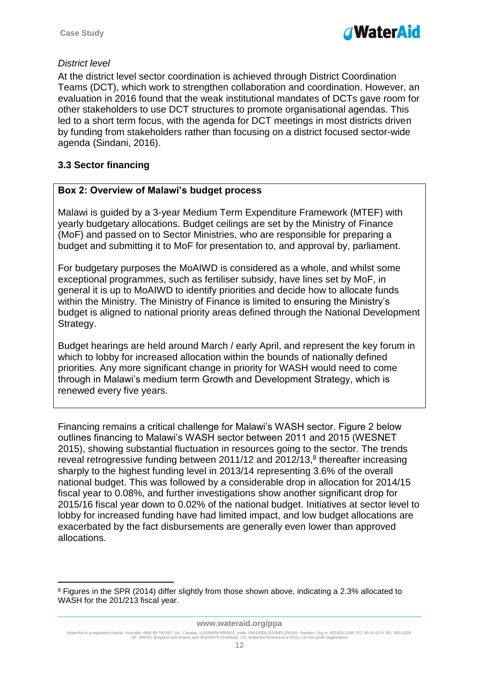

## *District level*

At the district level sector coordination is achieved through District Coordination Teams (DCT), which work to strengthen collaboration and coordination. However, an evaluation in 2016 found that the weak institutional mandates of DCTs gave room for other stakeholders to use DCT structures to promote organisational agendas. This led to a short term focus, with the agenda for DCT meetings in most districts driven by funding from stakeholders rather than focusing on a district focused sector-wide agenda (Sindani, 2016).

# <span id="page-11-0"></span>**3.3 Sector financing**

1

## **Box 2: Overview of Malawi's budget process**

Malawi is guided by a 3-year Medium Term Expenditure Framework (MTEF) with yearly budgetary allocations. Budget ceilings are set by the Ministry of Finance (MoF) and passed on to Sector Ministries, who are responsible for preparing a budget and submitting it to MoF for presentation to, and approval by, parliament.

For budgetary purposes the MoAIWD is considered as a whole, and whilst some exceptional programmes, such as fertiliser subsidy, have lines set by MoF, in general it is up to MoAIWD to identify priorities and decide how to allocate funds within the Ministry. The Ministry of Finance is limited to ensuring the Ministry's budget is aligned to national priority areas defined through the National Development Strategy.

Budget hearings are held around March / early April, and represent the key forum in which to lobby for increased allocation within the bounds of nationally defined priorities. Any more significant change in priority for WASH would need to come through in Malawi's medium term Growth and Development Strategy, which is renewed every five years.

Financing remains a critical challenge for Malawi's WASH sector. Figure 2 below outlines financing to Malawi's WASH sector between 2011 and 2015 (WESNET 2015), showing substantial fluctuation in resources going to the sector. The trends reveal retrogressive funding between 2011/12 and 2012/13,<sup>8</sup> thereafter increasing sharply to the highest funding level in 2013/14 representing 3.6% of the overall national budget. This was followed by a considerable drop in allocation for 2014/15 fiscal year to 0.08%, and further investigations show another significant drop for 2015/16 fiscal year down to 0.02% of the national budget. Initiatives at sector level to lobby for increased funding have had limited impact, and low budget allocations are exacerbated by the fact disbursements are generally even lower than approved allocations.

<sup>8</sup> Figures in the SPR (2014) differ slightly from those shown above, indicating a 2.3% allocated to WASH for the 201/213 fiscal year.

WaterAid is a registered charity: Australia: ABN 99 700 687 141. Canada: 119288934 RR0001. India: U85100DL2010NPL200169. Sweden: Org.nr: 802426-1268, PG: 90 01 62-9, BG: 900-1629.<br>UK: 288701 (England and Wales) and SC0394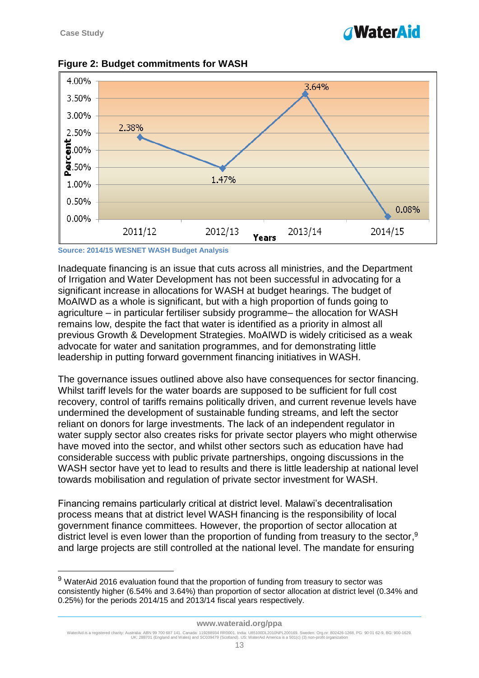1

# *NaterAid*



## **Figure 2: Budget commitments for WASH**

**Source: 2014/15 WESNET WASH Budget Analysis**

Inadequate financing is an issue that cuts across all ministries, and the Department of Irrigation and Water Development has not been successful in advocating for a significant increase in allocations for WASH at budget hearings. The budget of MoAIWD as a whole is significant, but with a high proportion of funds going to agriculture – in particular fertiliser subsidy programme– the allocation for WASH remains low, despite the fact that water is identified as a priority in almost all previous Growth & Development Strategies. MoAIWD is widely criticised as a weak advocate for water and sanitation programmes, and for demonstrating little leadership in putting forward government financing initiatives in WASH.

The governance issues outlined above also have consequences for sector financing. Whilst tariff levels for the water boards are supposed to be sufficient for full cost recovery, control of tariffs remains politically driven, and current revenue levels have undermined the development of sustainable funding streams, and left the sector reliant on donors for large investments. The lack of an independent regulator in water supply sector also creates risks for private sector players who might otherwise have moved into the sector, and whilst other sectors such as education have had considerable success with public private partnerships, ongoing discussions in the WASH sector have yet to lead to results and there is little leadership at national level towards mobilisation and regulation of private sector investment for WASH.

Financing remains particularly critical at district level. Malawi's decentralisation process means that at district level WASH financing is the responsibility of local government finance committees. However, the proportion of sector allocation at district level is even lower than the proportion of funding from treasury to the sector,<sup>9</sup> and large projects are still controlled at the national level. The mandate for ensuring

#### **www.wateraid.org/ppa**

<sup>&</sup>lt;sup>9</sup> WaterAid 2016 evaluation found that the proportion of funding from treasury to sector was consistently higher (6.54% and 3.64%) than proportion of sector allocation at district level (0.34% and 0.25%) for the periods 2014/15 and 2013/14 fiscal years respectively.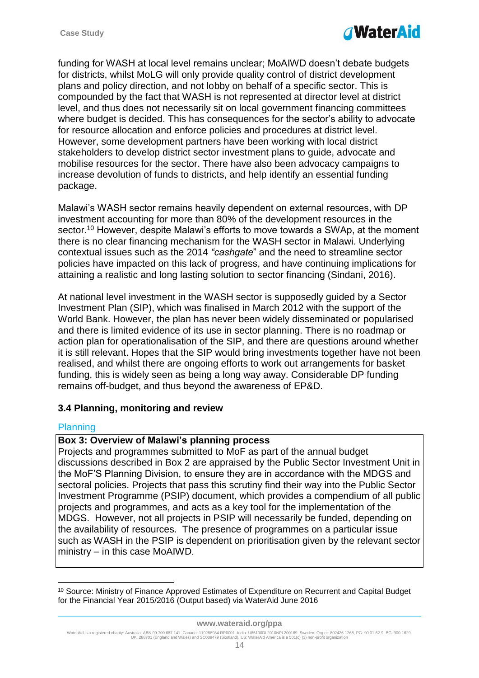

funding for WASH at local level remains unclear; MoAIWD doesn't debate budgets for districts, whilst MoLG will only provide quality control of district development plans and policy direction, and not lobby on behalf of a specific sector. This is compounded by the fact that WASH is not represented at director level at district level, and thus does not necessarily sit on local government financing committees where budget is decided. This has consequences for the sector's ability to advocate for resource allocation and enforce policies and procedures at district level. However, some development partners have been working with local district stakeholders to develop district sector investment plans to guide, advocate and mobilise resources for the sector. There have also been advocacy campaigns to increase devolution of funds to districts, and help identify an essential funding package.

Malawi's WASH sector remains heavily dependent on external resources, with DP investment accounting for more than 80% of the development resources in the sector. <sup>10</sup> However, despite Malawi's efforts to move towards a SWAp, at the moment there is no clear financing mechanism for the WASH sector in Malawi. Underlying contextual issues such as the 2014 *"cashgate*" and the need to streamline sector policies have impacted on this lack of progress, and have continuing implications for attaining a realistic and long lasting solution to sector financing (Sindani, 2016).

At national level investment in the WASH sector is supposedly guided by a Sector Investment Plan (SIP), which was finalised in March 2012 with the support of the World Bank. However, the plan has never been widely disseminated or popularised and there is limited evidence of its use in sector planning. There is no roadmap or action plan for operationalisation of the SIP, and there are questions around whether it is still relevant. Hopes that the SIP would bring investments together have not been realised, and whilst there are ongoing efforts to work out arrangements for basket funding, this is widely seen as being a long way away. Considerable DP funding remains off-budget, and thus beyond the awareness of EP&D.

## <span id="page-13-0"></span>**3.4 Planning, monitoring and review**

#### **Planning**

1

#### **Box 3: Overview of Malawi's planning process**

Projects and programmes submitted to MoF as part of the annual budget discussions described in Box 2 are appraised by the Public Sector Investment Unit in the MoF'S Planning Division, to ensure they are in accordance with the MDGS and sectoral policies. Projects that pass this scrutiny find their way into the Public Sector Investment Programme (PSIP) document, which provides a compendium of all public projects and programmes, and acts as a key tool for the implementation of the MDGS. However, not all projects in PSIP will necessarily be funded, depending on the availability of resources. The presence of programmes on a particular issue such as WASH in the PSIP is dependent on prioritisation given by the relevant sector ministry – in this case MoAIWD.

<sup>10</sup> Source: Ministry of Finance Approved Estimates of Expenditure on Recurrent and Capital Budget for the Financial Year 2015/2016 (Output based) via WaterAid June 2016

WaterAid is a registered charity: Australia: ABN 99 700 687 141. Canada: 119288934 RR0001. India: U85100DL2010NPL200169. Sweden: Org.nr: 802426-1268, PG: 90 01 62-9, BG: 900-1629.<br>UK: 288701 (England and Wales) and SC0394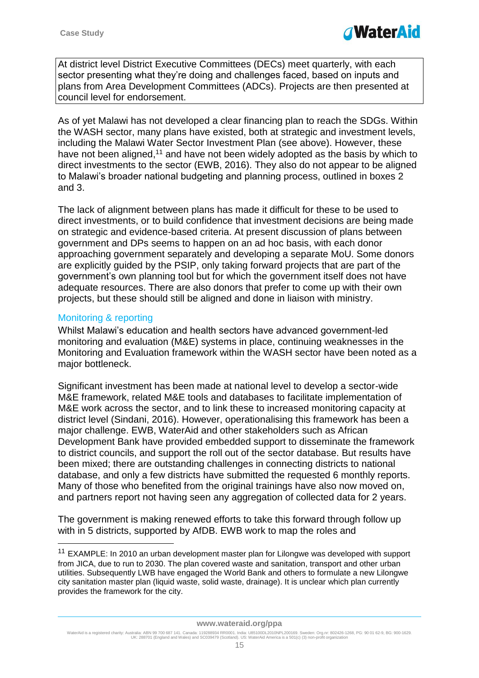

At district level District Executive Committees (DECs) meet quarterly, with each sector presenting what they're doing and challenges faced, based on inputs and plans from Area Development Committees (ADCs). Projects are then presented at council level for endorsement.

As of yet Malawi has not developed a clear financing plan to reach the SDGs. Within the WASH sector, many plans have existed, both at strategic and investment levels, including the Malawi Water Sector Investment Plan (see above). However, these have not been aligned,<sup>11</sup> and have not been widely adopted as the basis by which to direct investments to the sector (EWB, 2016). They also do not appear to be aligned to Malawi's broader national budgeting and planning process, outlined in boxes 2 and 3.

The lack of alignment between plans has made it difficult for these to be used to direct investments, or to build confidence that investment decisions are being made on strategic and evidence-based criteria. At present discussion of plans between government and DPs seems to happen on an ad hoc basis, with each donor approaching government separately and developing a separate MoU. Some donors are explicitly guided by the PSIP, only taking forward projects that are part of the government's own planning tool but for which the government itself does not have adequate resources. There are also donors that prefer to come up with their own projects, but these should still be aligned and done in liaison with ministry.

## Monitoring & reporting

1

Whilst Malawi's education and health sectors have advanced government-led monitoring and evaluation (M&E) systems in place, continuing weaknesses in the Monitoring and Evaluation framework within the WASH sector have been noted as a major bottleneck.

Significant investment has been made at national level to develop a sector-wide M&E framework, related M&E tools and databases to facilitate implementation of M&E work across the sector, and to link these to increased monitoring capacity at district level (Sindani, 2016). However, operationalising this framework has been a major challenge. EWB, WaterAid and other stakeholders such as African Development Bank have provided embedded support to disseminate the framework to district councils, and support the roll out of the sector database. But results have been mixed; there are outstanding challenges in connecting districts to national database, and only a few districts have submitted the requested 6 monthly reports. Many of those who benefited from the original trainings have also now moved on, and partners report not having seen any aggregation of collected data for 2 years.

The government is making renewed efforts to take this forward through follow up with in 5 districts, supported by AfDB. EWB work to map the roles and

<sup>&</sup>lt;sup>11</sup> EXAMPLE: In 2010 an urban development master plan for Lilongwe was developed with support from JICA, due to run to 2030. The plan covered waste and sanitation, transport and other urban utilities. Subsequently LWB have engaged the World Bank and others to formulate a new Lilongwe city sanitation master plan (liquid waste, solid waste, drainage). It is unclear which plan currently provides the framework for the city.

WaterAid is a registered charity: Australia: ABN 99 700 687 141. Canada: 119288934 RR0001. India: U85100DL2010NPL200169. Sweden: Org.nr: 802426-1268, PG: 90 01 62-9, BG: 900-1629.<br>UK: 288701 (England and Wales) and SC0394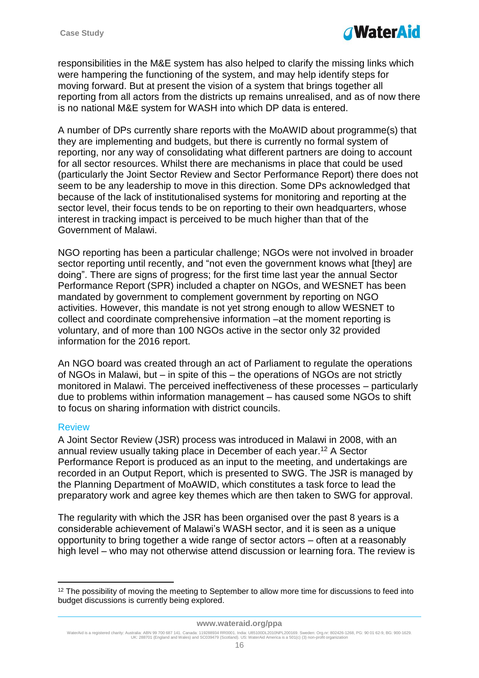

responsibilities in the M&E system has also helped to clarify the missing links which were hampering the functioning of the system, and may help identify steps for moving forward. But at present the vision of a system that brings together all reporting from all actors from the districts up remains unrealised, and as of now there is no national M&E system for WASH into which DP data is entered.

A number of DPs currently share reports with the MoAWID about programme(s) that they are implementing and budgets, but there is currently no formal system of reporting, nor any way of consolidating what different partners are doing to account for all sector resources. Whilst there are mechanisms in place that could be used (particularly the Joint Sector Review and Sector Performance Report) there does not seem to be any leadership to move in this direction. Some DPs acknowledged that because of the lack of institutionalised systems for monitoring and reporting at the sector level, their focus tends to be on reporting to their own headquarters, whose interest in tracking impact is perceived to be much higher than that of the Government of Malawi.

NGO reporting has been a particular challenge; NGOs were not involved in broader sector reporting until recently, and "not even the government knows what [they] are doing". There are signs of progress; for the first time last year the annual Sector Performance Report (SPR) included a chapter on NGOs, and WESNET has been mandated by government to complement government by reporting on NGO activities. However, this mandate is not yet strong enough to allow WESNET to collect and coordinate comprehensive information –at the moment reporting is voluntary, and of more than 100 NGOs active in the sector only 32 provided information for the 2016 report.

An NGO board was created through an act of Parliament to regulate the operations of NGOs in Malawi, but – in spite of this – the operations of NGOs are not strictly monitored in Malawi. The perceived ineffectiveness of these processes – particularly due to problems within information management – has caused some NGOs to shift to focus on sharing information with district councils.

#### Review

1

A Joint Sector Review (JSR) process was introduced in Malawi in 2008, with an annual review usually taking place in December of each year. <sup>12</sup> A Sector Performance Report is produced as an input to the meeting, and undertakings are recorded in an Output Report, which is presented to SWG. The JSR is managed by the Planning Department of MoAWID, which constitutes a task force to lead the preparatory work and agree key themes which are then taken to SWG for approval.

The regularity with which the JSR has been organised over the past 8 years is a considerable achievement of Malawi's WASH sector, and it is seen as a unique opportunity to bring together a wide range of sector actors – often at a reasonably high level – who may not otherwise attend discussion or learning fora. The review is

<sup>&</sup>lt;sup>12</sup> The possibility of moving the meeting to September to allow more time for discussions to feed into budget discussions is currently being explored.

WaterAid is a registered charity: Australia: ABN 99 700 687 141. Canada: 119288934 RR0001. India: U85100DL2010NPL200169. Sweden: Org.nr: 802426-1268, PG: 90 01 62-9, BG: 900-1629.<br>UK: 288701 (England and Wales) and SC0394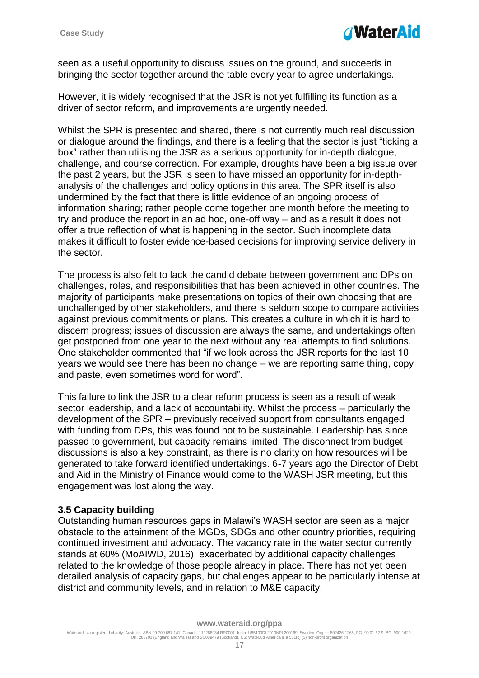

seen as a useful opportunity to discuss issues on the ground, and succeeds in bringing the sector together around the table every year to agree undertakings.

However, it is widely recognised that the JSR is not yet fulfilling its function as a driver of sector reform, and improvements are urgently needed.

Whilst the SPR is presented and shared, there is not currently much real discussion or dialogue around the findings, and there is a feeling that the sector is just "ticking a box" rather than utilising the JSR as a serious opportunity for in-depth dialogue, challenge, and course correction. For example, droughts have been a big issue over the past 2 years, but the JSR is seen to have missed an opportunity for in-depthanalysis of the challenges and policy options in this area. The SPR itself is also undermined by the fact that there is little evidence of an ongoing process of information sharing; rather people come together one month before the meeting to try and produce the report in an ad hoc, one-off way – and as a result it does not offer a true reflection of what is happening in the sector. Such incomplete data makes it difficult to foster evidence-based decisions for improving service delivery in the sector.

The process is also felt to lack the candid debate between government and DPs on challenges, roles, and responsibilities that has been achieved in other countries. The majority of participants make presentations on topics of their own choosing that are unchallenged by other stakeholders, and there is seldom scope to compare activities against previous commitments or plans. This creates a culture in which it is hard to discern progress; issues of discussion are always the same, and undertakings often get postponed from one year to the next without any real attempts to find solutions. One stakeholder commented that "if we look across the JSR reports for the last 10 years we would see there has been no change – we are reporting same thing, copy and paste, even sometimes word for word".

This failure to link the JSR to a clear reform process is seen as a result of weak sector leadership, and a lack of accountability. Whilst the process – particularly the development of the SPR – previously received support from consultants engaged with funding from DPs, this was found not to be sustainable. Leadership has since passed to government, but capacity remains limited. The disconnect from budget discussions is also a key constraint, as there is no clarity on how resources will be generated to take forward identified undertakings. 6-7 years ago the Director of Debt and Aid in the Ministry of Finance would come to the WASH JSR meeting, but this engagement was lost along the way.

## <span id="page-16-0"></span>**3.5 Capacity building**

Outstanding human resources gaps in Malawi's WASH sector are seen as a major obstacle to the attainment of the MGDs, SDGs and other country priorities, requiring continued investment and advocacy. The vacancy rate in the water sector currently stands at 60% (MoAIWD, 2016), exacerbated by additional capacity challenges related to the knowledge of those people already in place. There has not yet been detailed analysis of capacity gaps, but challenges appear to be particularly intense at district and community levels, and in relation to M&E capacity.

#### **www.wateraid.org/ppa**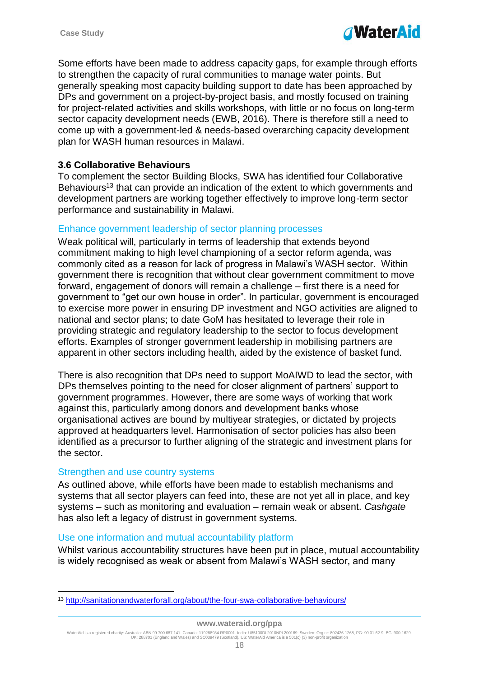Some efforts have been made to address capacity gaps, for example through efforts to strengthen the capacity of rural communities to manage water points. But generally speaking most capacity building support to date has been approached by DPs and government on a project-by-project basis, and mostly focused on training for project-related activities and skills workshops, with little or no focus on long-term sector capacity development needs (EWB, 2016). There is therefore still a need to come up with a government-led & needs-based overarching capacity development plan for WASH human resources in Malawi.

# <span id="page-17-0"></span>**3.6 Collaborative Behaviours**

To complement the sector Building Blocks, SWA has identified four Collaborative Behaviours<sup>13</sup> that can provide an indication of the extent to which governments and development partners are working together effectively to improve long-term sector performance and sustainability in Malawi.

## Enhance government leadership of sector planning processes

Weak political will, particularly in terms of leadership that extends beyond commitment making to high level championing of a sector reform agenda, was commonly cited as a reason for lack of progress in Malawi's WASH sector. Within government there is recognition that without clear government commitment to move forward, engagement of donors will remain a challenge – first there is a need for government to "get our own house in order". In particular, government is encouraged to exercise more power in ensuring DP investment and NGO activities are aligned to national and sector plans; to date GoM has hesitated to leverage their role in providing strategic and regulatory leadership to the sector to focus development efforts. Examples of stronger government leadership in mobilising partners are apparent in other sectors including health, aided by the existence of basket fund.

There is also recognition that DPs need to support MoAIWD to lead the sector, with DPs themselves pointing to the need for closer alignment of partners' support to government programmes. However, there are some ways of working that work against this, particularly among donors and development banks whose organisational actives are bound by multiyear strategies, or dictated by projects approved at headquarters level. Harmonisation of sector policies has also been identified as a precursor to further aligning of the strategic and investment plans for the sector.

#### Strengthen and use country systems

1

As outlined above, while efforts have been made to establish mechanisms and systems that all sector players can feed into, these are not yet all in place, and key systems – such as monitoring and evaluation – remain weak or absent. *Cashgate* has also left a legacy of distrust in government systems.

#### Use one information and mutual accountability platform

Whilst various accountability structures have been put in place, mutual accountability is widely recognised as weak or absent from Malawi's WASH sector, and many

<sup>13</sup> <http://sanitationandwaterforall.org/about/the-four-swa-collaborative-behaviours/>

WaterAid is a registered charity: Australia: ABN 99 700 687 141. Canada: 119288934 RR0001. India: U85100DL2010NPL200169. Sweden: Org.nr: 802426-1268, PG: 90 01 62-9, BG: 900-1629.<br>UK: 288701 (England and Wales) and SC0394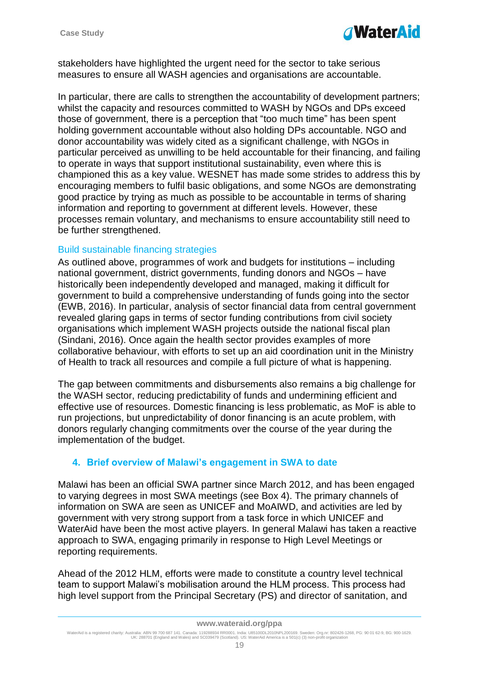

stakeholders have highlighted the urgent need for the sector to take serious measures to ensure all WASH agencies and organisations are accountable.

In particular, there are calls to strengthen the accountability of development partners; whilst the capacity and resources committed to WASH by NGOs and DPs exceed those of government, there is a perception that "too much time" has been spent holding government accountable without also holding DPs accountable. NGO and donor accountability was widely cited as a significant challenge, with NGOs in particular perceived as unwilling to be held accountable for their financing, and failing to operate in ways that support institutional sustainability, even where this is championed this as a key value. WESNET has made some strides to address this by encouraging members to fulfil basic obligations, and some NGOs are demonstrating good practice by trying as much as possible to be accountable in terms of sharing information and reporting to government at different levels. However, these processes remain voluntary, and mechanisms to ensure accountability still need to be further strengthened.

## Build sustainable financing strategies

As outlined above, programmes of work and budgets for institutions – including national government, district governments, funding donors and NGOs – have historically been independently developed and managed, making it difficult for government to build a comprehensive understanding of funds going into the sector (EWB, 2016). In particular, analysis of sector financial data from central government revealed glaring gaps in terms of sector funding contributions from civil society organisations which implement WASH projects outside the national fiscal plan (Sindani, 2016). Once again the health sector provides examples of more collaborative behaviour, with efforts to set up an aid coordination unit in the Ministry of Health to track all resources and compile a full picture of what is happening.

The gap between commitments and disbursements also remains a big challenge for the WASH sector, reducing predictability of funds and undermining efficient and effective use of resources. Domestic financing is less problematic, as MoF is able to run projections, but unpredictability of donor financing is an acute problem, with donors regularly changing commitments over the course of the year during the implementation of the budget.

## <span id="page-18-0"></span>**4. Brief overview of Malawi's engagement in SWA to date**

Malawi has been an official SWA partner since March 2012, and has been engaged to varying degrees in most SWA meetings (see Box 4). The primary channels of information on SWA are seen as UNICEF and MoAIWD, and activities are led by government with very strong support from a task force in which UNICEF and WaterAid have been the most active players. In general Malawi has taken a reactive approach to SWA, engaging primarily in response to High Level Meetings or reporting requirements.

Ahead of the 2012 HLM, efforts were made to constitute a country level technical team to support Malawi's mobilisation around the HLM process. This process had high level support from the Principal Secretary (PS) and director of sanitation, and

#### **www.wateraid.org/ppa**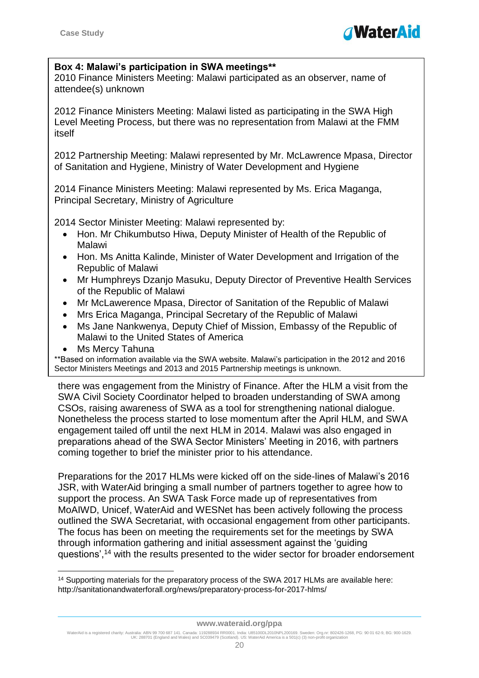

#### **Box 4: Malawi's participation in SWA meetings\*\***

2010 Finance Ministers Meeting: Malawi participated as an observer, name of attendee(s) unknown

2012 Finance Ministers Meeting: Malawi listed as participating in the SWA High Level Meeting Process, but there was no representation from Malawi at the FMM itself

2012 Partnership Meeting: Malawi represented by Mr. McLawrence Mpasa, Director of Sanitation and Hygiene, Ministry of Water Development and Hygiene

2014 Finance Ministers Meeting: Malawi represented by Ms. Erica Maganga, Principal Secretary, Ministry of Agriculture

2014 Sector Minister Meeting: Malawi represented by:

- Hon. Mr Chikumbutso Hiwa, Deputy Minister of Health of the Republic of Malawi
- Hon. Ms Anitta Kalinde, Minister of Water Development and Irrigation of the Republic of Malawi
- Mr Humphreys Dzanjo Masuku, Deputy Director of Preventive Health Services of the Republic of Malawi
- Mr McLawerence Mpasa, Director of Sanitation of the Republic of Malawi
- Mrs Erica Maganga, Principal Secretary of the Republic of Malawi
- Ms Jane Nankwenya, Deputy Chief of Mission, Embassy of the Republic of Malawi to the United States of America
- Ms Mercy Tahuna

1

\*\*Based on information available via the SWA website. Malawi's participation in the 2012 and 2016 Sector Ministers Meetings and 2013 and 2015 Partnership meetings is unknown.

there was engagement from the Ministry of Finance. After the HLM a visit from the SWA Civil Society Coordinator helped to broaden understanding of SWA among CSOs, raising awareness of SWA as a tool for strengthening national dialogue. Nonetheless the process started to lose momentum after the April HLM, and SWA engagement tailed off until the next HLM in 2014. Malawi was also engaged in preparations ahead of the SWA Sector Ministers' Meeting in 2016, with partners coming together to brief the minister prior to his attendance.

Preparations for the 2017 HLMs were kicked off on the side-lines of Malawi's 2016 JSR, with WaterAid bringing a small number of partners together to agree how to support the process. An SWA Task Force made up of representatives from MoAIWD, Unicef, WaterAid and WESNet has been actively following the process outlined the SWA Secretariat, with occasional engagement from other participants. The focus has been on meeting the requirements set for the meetings by SWA through information gathering and initial assessment against the 'guiding questions',<sup>14</sup> with the results presented to the wider sector for broader endorsement

<sup>14</sup> Supporting materials for the preparatory process of the SWA 2017 HLMs are available here: http://sanitationandwaterforall.org/news/preparatory-process-for-2017-hlms/

WaterAid is a registered charity: Australia: ABN 99 700 687 141. Canada: 119288934 RR0001. India: U85100DL2010NPL200169. Sweden: Org.nr: 802426-1268, PG: 90 01 62-9, BG: 900-1629.<br>UK: 288701 (England and Wales) and SC0394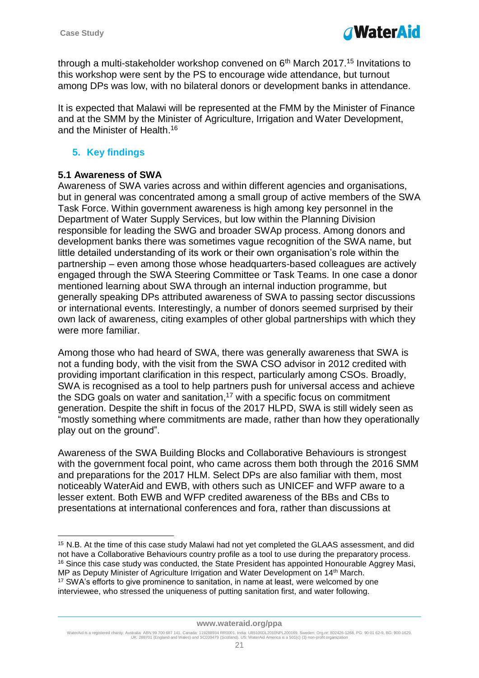

through a multi-stakeholder workshop convened on 6<sup>th</sup> March 2017.<sup>15</sup> Invitations to this workshop were sent by the PS to encourage wide attendance, but turnout among DPs was low, with no bilateral donors or development banks in attendance.

It is expected that Malawi will be represented at the FMM by the Minister of Finance and at the SMM by the Minister of Agriculture, Irrigation and Water Development, and the Minister of Health. 16

# <span id="page-20-0"></span>**5. Key findings**

# <span id="page-20-1"></span>**5.1 Awareness of SWA**

1

Awareness of SWA varies across and within different agencies and organisations, but in general was concentrated among a small group of active members of the SWA Task Force. Within government awareness is high among key personnel in the Department of Water Supply Services, but low within the Planning Division responsible for leading the SWG and broader SWAp process. Among donors and development banks there was sometimes vague recognition of the SWA name, but little detailed understanding of its work or their own organisation's role within the partnership – even among those whose headquarters-based colleagues are actively engaged through the SWA Steering Committee or Task Teams. In one case a donor mentioned learning about SWA through an internal induction programme, but generally speaking DPs attributed awareness of SWA to passing sector discussions or international events. Interestingly, a number of donors seemed surprised by their own lack of awareness, citing examples of other global partnerships with which they were more familiar.

Among those who had heard of SWA, there was generally awareness that SWA is not a funding body, with the visit from the SWA CSO advisor in 2012 credited with providing important clarification in this respect, particularly among CSOs. Broadly, SWA is recognised as a tool to help partners push for universal access and achieve the SDG goals on water and sanitation,<sup>17</sup> with a specific focus on commitment generation. Despite the shift in focus of the 2017 HLPD, SWA is still widely seen as "mostly something where commitments are made, rather than how they operationally play out on the ground".

Awareness of the SWA Building Blocks and Collaborative Behaviours is strongest with the government focal point, who came across them both through the 2016 SMM and preparations for the 2017 HLM. Select DPs are also familiar with them, most noticeably WaterAid and EWB, with others such as UNICEF and WFP aware to a lesser extent. Both EWB and WFP credited awareness of the BBs and CBs to presentations at international conferences and fora, rather than discussions at

<sup>15</sup> N.B. At the time of this case study Malawi had not yet completed the GLAAS assessment, and did not have a Collaborative Behaviours country profile as a tool to use during the preparatory process. <sup>16</sup> Since this case study was conducted, the State President has appointed Honourable Aggrey Masi, MP as Deputy Minister of Agriculture Irrigation and Water Development on 14th March. <sup>17</sup> SWA's efforts to give prominence to sanitation, in name at least, were welcomed by one interviewee, who stressed the uniqueness of putting sanitation first, and water following.

WaterAid is a registered charity: Australia: ABN 99 700 687 141. Canada: 119288934 RR0001. India: U85100DL2010NPL200169. Sweden: Org.nr: 802426-1268, PG: 90 01 62-9, BG: 900-1629.<br>UK: 288701 (England and Wales) and SC0394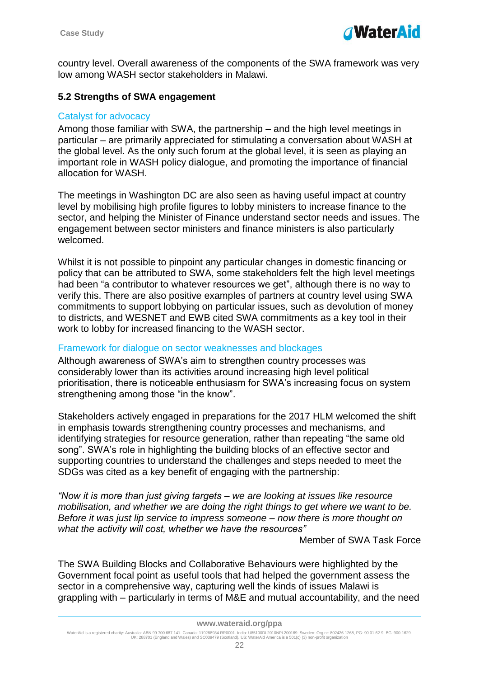

country level. Overall awareness of the components of the SWA framework was very low among WASH sector stakeholders in Malawi.

## <span id="page-21-0"></span>**5.2 Strengths of SWA engagement**

## Catalyst for advocacy

Among those familiar with SWA, the partnership – and the high level meetings in particular – are primarily appreciated for stimulating a conversation about WASH at the global level. As the only such forum at the global level, it is seen as playing an important role in WASH policy dialogue, and promoting the importance of financial allocation for WASH.

The meetings in Washington DC are also seen as having useful impact at country level by mobilising high profile figures to lobby ministers to increase finance to the sector, and helping the Minister of Finance understand sector needs and issues. The engagement between sector ministers and finance ministers is also particularly welcomed.

Whilst it is not possible to pinpoint any particular changes in domestic financing or policy that can be attributed to SWA, some stakeholders felt the high level meetings had been "a contributor to whatever resources we get", although there is no way to verify this. There are also positive examples of partners at country level using SWA commitments to support lobbying on particular issues, such as devolution of money to districts, and WESNET and EWB cited SWA commitments as a key tool in their work to lobby for increased financing to the WASH sector.

## Framework for dialogue on sector weaknesses and blockages

Although awareness of SWA's aim to strengthen country processes was considerably lower than its activities around increasing high level political prioritisation, there is noticeable enthusiasm for SWA's increasing focus on system strengthening among those "in the know".

Stakeholders actively engaged in preparations for the 2017 HLM welcomed the shift in emphasis towards strengthening country processes and mechanisms, and identifying strategies for resource generation, rather than repeating "the same old song". SWA's role in highlighting the building blocks of an effective sector and supporting countries to understand the challenges and steps needed to meet the SDGs was cited as a key benefit of engaging with the partnership:

*"Now it is more than just giving targets – we are looking at issues like resource mobilisation, and whether we are doing the right things to get where we want to be. Before it was just lip service to impress someone – now there is more thought on what the activity will cost, whether we have the resources"*

Member of SWA Task Force

The SWA Building Blocks and Collaborative Behaviours were highlighted by the Government focal point as useful tools that had helped the government assess the sector in a comprehensive way, capturing well the kinds of issues Malawi is grappling with – particularly in terms of M&E and mutual accountability, and the need

#### **www.wateraid.org/ppa**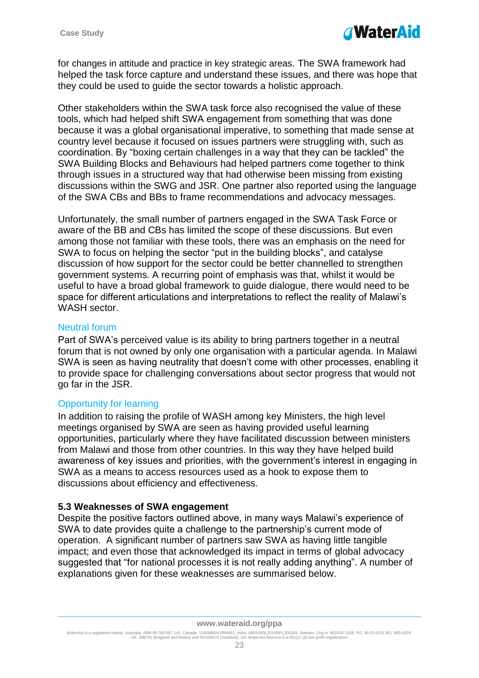

for changes in attitude and practice in key strategic areas. The SWA framework had helped the task force capture and understand these issues, and there was hope that they could be used to guide the sector towards a holistic approach.

Other stakeholders within the SWA task force also recognised the value of these tools, which had helped shift SWA engagement from something that was done because it was a global organisational imperative, to something that made sense at country level because it focused on issues partners were struggling with, such as coordination. By "boxing certain challenges in a way that they can be tackled" the SWA Building Blocks and Behaviours had helped partners come together to think through issues in a structured way that had otherwise been missing from existing discussions within the SWG and JSR. One partner also reported using the language of the SWA CBs and BBs to frame recommendations and advocacy messages.

Unfortunately, the small number of partners engaged in the SWA Task Force or aware of the BB and CBs has limited the scope of these discussions. But even among those not familiar with these tools, there was an emphasis on the need for SWA to focus on helping the sector "put in the building blocks", and catalyse discussion of how support for the sector could be better channelled to strengthen government systems. A recurring point of emphasis was that, whilst it would be useful to have a broad global framework to guide dialogue, there would need to be space for different articulations and interpretations to reflect the reality of Malawi's WASH sector.

#### Neutral forum

Part of SWA's perceived value is its ability to bring partners together in a neutral forum that is not owned by only one organisation with a particular agenda. In Malawi SWA is seen as having neutrality that doesn't come with other processes, enabling it to provide space for challenging conversations about sector progress that would not go far in the JSR.

## Opportunity for learning

In addition to raising the profile of WASH among key Ministers, the high level meetings organised by SWA are seen as having provided useful learning opportunities, particularly where they have facilitated discussion between ministers from Malawi and those from other countries. In this way they have helped build awareness of key issues and priorities, with the government's interest in engaging in SWA as a means to access resources used as a hook to expose them to discussions about efficiency and effectiveness.

## <span id="page-22-0"></span>**5.3 Weaknesses of SWA engagement**

Despite the positive factors outlined above, in many ways Malawi's experience of SWA to date provides quite a challenge to the partnership's current mode of operation. A significant number of partners saw SWA as having little tangible impact; and even those that acknowledged its impact in terms of global advocacy suggested that "for national processes it is not really adding anything". A number of explanations given for these weaknesses are summarised below.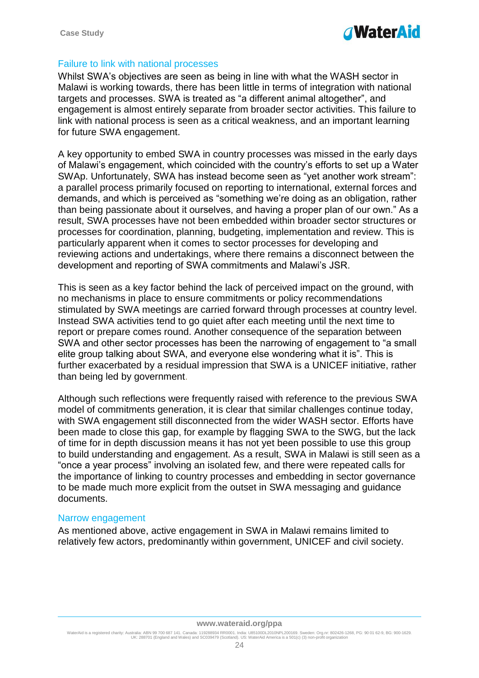# *TWaterAid*

## Failure to link with national processes

Whilst SWA's objectives are seen as being in line with what the WASH sector in Malawi is working towards, there has been little in terms of integration with national targets and processes. SWA is treated as "a different animal altogether", and engagement is almost entirely separate from broader sector activities. This failure to link with national process is seen as a critical weakness, and an important learning for future SWA engagement.

A key opportunity to embed SWA in country processes was missed in the early days of Malawi's engagement, which coincided with the country's efforts to set up a Water SWAp. Unfortunately, SWA has instead become seen as "yet another work stream": a parallel process primarily focused on reporting to international, external forces and demands, and which is perceived as "something we're doing as an obligation, rather than being passionate about it ourselves, and having a proper plan of our own." As a result, SWA processes have not been embedded within broader sector structures or processes for coordination, planning, budgeting, implementation and review. This is particularly apparent when it comes to sector processes for developing and reviewing actions and undertakings, where there remains a disconnect between the development and reporting of SWA commitments and Malawi's JSR.

This is seen as a key factor behind the lack of perceived impact on the ground, with no mechanisms in place to ensure commitments or policy recommendations stimulated by SWA meetings are carried forward through processes at country level. Instead SWA activities tend to go quiet after each meeting until the next time to report or prepare comes round. Another consequence of the separation between SWA and other sector processes has been the narrowing of engagement to "a small elite group talking about SWA, and everyone else wondering what it is". This is further exacerbated by a residual impression that SWA is a UNICEF initiative, rather than being led by government.

Although such reflections were frequently raised with reference to the previous SWA model of commitments generation, it is clear that similar challenges continue today, with SWA engagement still disconnected from the wider WASH sector. Efforts have been made to close this gap, for example by flagging SWA to the SWG, but the lack of time for in depth discussion means it has not yet been possible to use this group to build understanding and engagement. As a result, SWA in Malawi is still seen as a "once a year process" involving an isolated few, and there were repeated calls for the importance of linking to country processes and embedding in sector governance to be made much more explicit from the outset in SWA messaging and guidance documents.

#### Narrow engagement

As mentioned above, active engagement in SWA in Malawi remains limited to relatively few actors, predominantly within government, UNICEF and civil society.

#### **www.wateraid.org/ppa**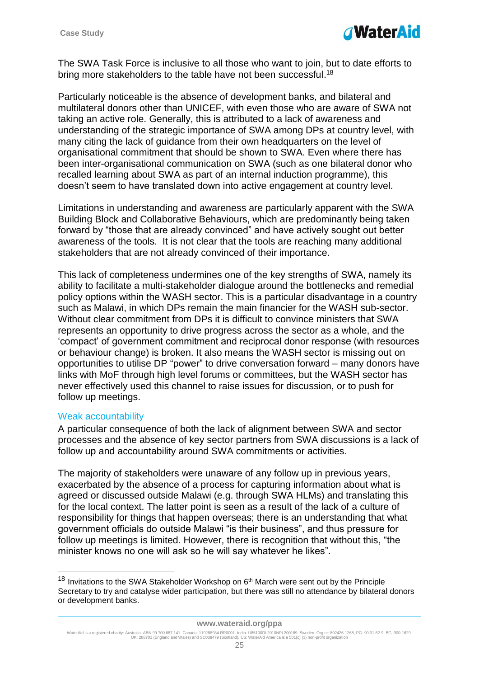

The SWA Task Force is inclusive to all those who want to join, but to date efforts to bring more stakeholders to the table have not been successful.<sup>18</sup>

Particularly noticeable is the absence of development banks, and bilateral and multilateral donors other than UNICEF, with even those who are aware of SWA not taking an active role. Generally, this is attributed to a lack of awareness and understanding of the strategic importance of SWA among DPs at country level, with many citing the lack of guidance from their own headquarters on the level of organisational commitment that should be shown to SWA. Even where there has been inter-organisational communication on SWA (such as one bilateral donor who recalled learning about SWA as part of an internal induction programme), this doesn't seem to have translated down into active engagement at country level.

Limitations in understanding and awareness are particularly apparent with the SWA Building Block and Collaborative Behaviours, which are predominantly being taken forward by "those that are already convinced" and have actively sought out better awareness of the tools. It is not clear that the tools are reaching many additional stakeholders that are not already convinced of their importance.

This lack of completeness undermines one of the key strengths of SWA, namely its ability to facilitate a multi-stakeholder dialogue around the bottlenecks and remedial policy options within the WASH sector. This is a particular disadvantage in a country such as Malawi, in which DPs remain the main financier for the WASH sub-sector. Without clear commitment from DPs it is difficult to convince ministers that SWA represents an opportunity to drive progress across the sector as a whole, and the 'compact' of government commitment and reciprocal donor response (with resources or behaviour change) is broken. It also means the WASH sector is missing out on opportunities to utilise DP "power" to drive conversation forward – many donors have links with MoF through high level forums or committees, but the WASH sector has never effectively used this channel to raise issues for discussion, or to push for follow up meetings.

#### Weak accountability

1

A particular consequence of both the lack of alignment between SWA and sector processes and the absence of key sector partners from SWA discussions is a lack of follow up and accountability around SWA commitments or activities.

The majority of stakeholders were unaware of any follow up in previous years, exacerbated by the absence of a process for capturing information about what is agreed or discussed outside Malawi (e.g. through SWA HLMs) and translating this for the local context. The latter point is seen as a result of the lack of a culture of responsibility for things that happen overseas; there is an understanding that what government officials do outside Malawi "is their business", and thus pressure for follow up meetings is limited. However, there is recognition that without this, "the minister knows no one will ask so he will say whatever he likes".

 $18$  Invitations to the SWA Stakeholder Workshop on  $6<sup>th</sup>$  March were sent out by the Principle Secretary to try and catalyse wider participation, but there was still no attendance by bilateral donors or development banks.

WaterAid is a registered charity: Australia: ABN 99 700 687 141. Canada: 119288934 RR0001. India: U85100DL2010NPL200169. Sweden: Org.nr: 802426-1268, PG: 90 01 62-9, BG: 900-1629.<br>UK: 288701 (England and Wales) and SC0394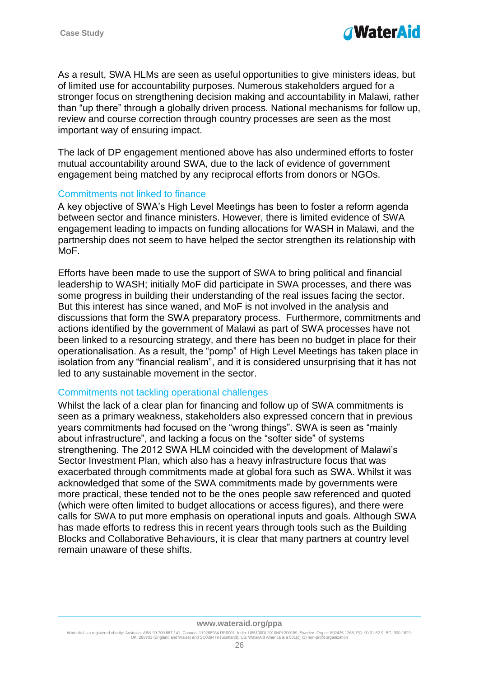

As a result, SWA HLMs are seen as useful opportunities to give ministers ideas, but of limited use for accountability purposes. Numerous stakeholders argued for a stronger focus on strengthening decision making and accountability in Malawi, rather than "up there" through a globally driven process. National mechanisms for follow up, review and course correction through country processes are seen as the most important way of ensuring impact.

The lack of DP engagement mentioned above has also undermined efforts to foster mutual accountability around SWA, due to the lack of evidence of government engagement being matched by any reciprocal efforts from donors or NGOs.

#### Commitments not linked to finance

A key objective of SWA's High Level Meetings has been to foster a reform agenda between sector and finance ministers. However, there is limited evidence of SWA engagement leading to impacts on funding allocations for WASH in Malawi, and the partnership does not seem to have helped the sector strengthen its relationship with MoF.

Efforts have been made to use the support of SWA to bring political and financial leadership to WASH; initially MoF did participate in SWA processes, and there was some progress in building their understanding of the real issues facing the sector. But this interest has since waned, and MoF is not involved in the analysis and discussions that form the SWA preparatory process. Furthermore, commitments and actions identified by the government of Malawi as part of SWA processes have not been linked to a resourcing strategy, and there has been no budget in place for their operationalisation. As a result, the "pomp" of High Level Meetings has taken place in isolation from any "financial realism", and it is considered unsurprising that it has not led to any sustainable movement in the sector.

#### Commitments not tackling operational challenges

Whilst the lack of a clear plan for financing and follow up of SWA commitments is seen as a primary weakness, stakeholders also expressed concern that in previous years commitments had focused on the "wrong things". SWA is seen as "mainly about infrastructure", and lacking a focus on the "softer side" of systems strengthening. The 2012 SWA HLM coincided with the development of Malawi's Sector Investment Plan, which also has a heavy infrastructure focus that was exacerbated through commitments made at global fora such as SWA. Whilst it was acknowledged that some of the SWA commitments made by governments were more practical, these tended not to be the ones people saw referenced and quoted (which were often limited to budget allocations or access figures), and there were calls for SWA to put more emphasis on operational inputs and goals. Although SWA has made efforts to redress this in recent years through tools such as the Building Blocks and Collaborative Behaviours, it is clear that many partners at country level remain unaware of these shifts.

WaterAid is a registered charity: Australia: ABN 99 700 687 141. Canada: 119288934 RR0001. India: U85100DL2010NPL200169. Sweden: Org.nr: 802426-1268, PG: 90 01 62-9, BG: 900-1629.<br>UK: 288701 (England and Wales) and SC0394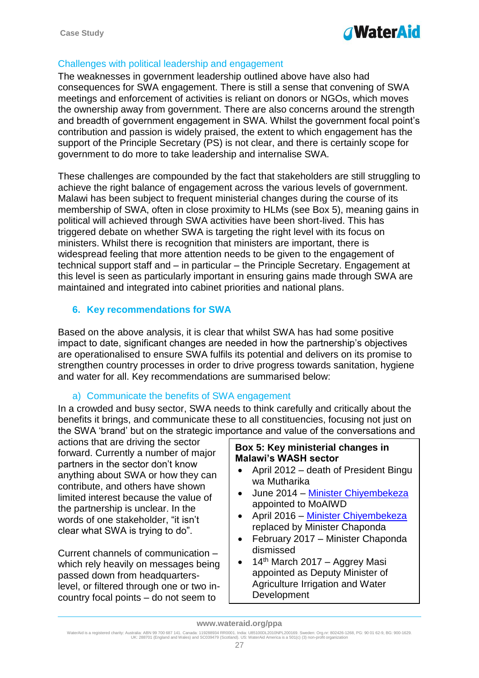# *TWaterAid*

# Challenges with political leadership and engagement

The weaknesses in government leadership outlined above have also had consequences for SWA engagement. There is still a sense that convening of SWA meetings and enforcement of activities is reliant on donors or NGOs, which moves the ownership away from government. There are also concerns around the strength and breadth of government engagement in SWA. Whilst the government focal point's contribution and passion is widely praised, the extent to which engagement has the support of the Principle Secretary (PS) is not clear, and there is certainly scope for government to do more to take leadership and internalise SWA.

These challenges are compounded by the fact that stakeholders are still struggling to achieve the right balance of engagement across the various levels of government. Malawi has been subject to frequent ministerial changes during the course of its membership of SWA, often in close proximity to HLMs (see Box 5), meaning gains in political will achieved through SWA activities have been short-lived. This has triggered debate on whether SWA is targeting the right level with its focus on ministers. Whilst there is recognition that ministers are important, there is widespread feeling that more attention needs to be given to the engagement of technical support staff and – in particular – the Principle Secretary. Engagement at this level is seen as particularly important in ensuring gains made through SWA are maintained and integrated into cabinet priorities and national plans.

## <span id="page-26-0"></span>**6. Key recommendations for SWA**

Based on the above analysis, it is clear that whilst SWA has had some positive impact to date, significant changes are needed in how the partnership's objectives are operationalised to ensure SWA fulfils its potential and delivers on its promise to strengthen country processes in order to drive progress towards sanitation, hygiene and water for all. Key recommendations are summarised below:

## a) Communicate the benefits of SWA engagement

In a crowded and busy sector, SWA needs to think carefully and critically about the benefits it brings, and communicate these to all constituencies, focusing not just on the SWA 'brand' but on the strategic importance and value of the conversations and

actions that are driving the sector forward. Currently a number of major partners in the sector don't know anything about SWA or how they can contribute, and others have shown limited interest because the value of the partnership is unclear. In the words of one stakeholder, "it isn't clear what SWA is trying to do".

Current channels of communication – which rely heavily on messages being passed down from headquarterslevel, or filtered through one or two incountry focal points – do not seem to

## **Box 5: Key ministerial changes in Malawi's WASH sector**

- April 2012 death of President Bingu wa Mutharika
- June 2014 Minister Chivembekeza appointed to MoAIWD
- April 2016 [Minister Chiyembekeza](https://www.google.co.uk/url?sa=t&rct=j&q=&esrc=s&source=web&cd=4&cad=rja&uact=8&ved=0ahUKEwjukIKrle3SAhUJBcAKHbIrDicQFggzMAM&url=http%3A%2F%2Fwww.nyasatimes.com%2Fminister-chiyembekeza-launches-k5mil-football-and-netball-competition-in-thyolo%2F&usg=AFQjCNG_H6xFM5idqGRZZ5zTWq_ZaNyBkA&bvm=bv.150475504,d.ZGg) replaced by Minister Chaponda
- February 2017 Minister Chaponda dismissed
- $\bullet$  14<sup>th</sup> March 2017 Aggrey Masi appointed as Deputy Minister of Agriculture Irrigation and Water Development

WaterAid is a registered charity: Australia: ABN 99 700 687 141. Canada: 119288934 RR0001. India: U85100DL2010NPL200169. Sweden: Org.nr: 802426-1268, PG: 90 01 62-9, BG: 900-1629.<br>UK: 288701 (England and Wales) and SC0394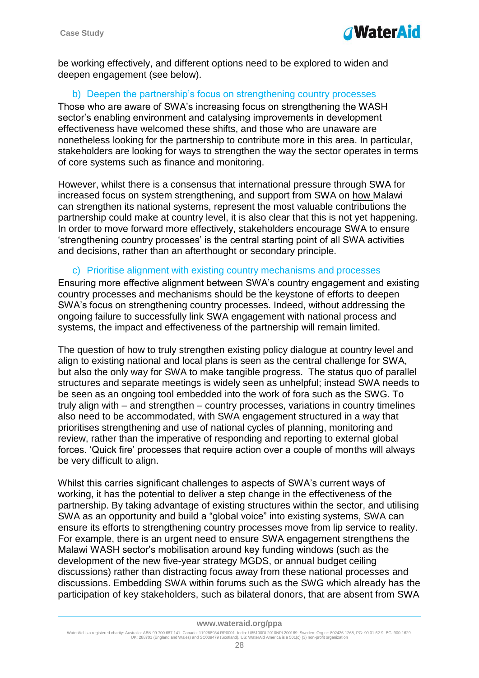

be working effectively, and different options need to be explored to widen and deepen engagement (see below).

#### b) Deepen the partnership's focus on strengthening country processes

Those who are aware of SWA's increasing focus on strengthening the WASH sector's enabling environment and catalysing improvements in development effectiveness have welcomed these shifts, and those who are unaware are nonetheless looking for the partnership to contribute more in this area. In particular, stakeholders are looking for ways to strengthen the way the sector operates in terms of core systems such as finance and monitoring.

However, whilst there is a consensus that international pressure through SWA for increased focus on system strengthening, and support from SWA on how Malawi can strengthen its national systems, represent the most valuable contributions the partnership could make at country level, it is also clear that this is not yet happening. In order to move forward more effectively, stakeholders encourage SWA to ensure 'strengthening country processes' is the central starting point of all SWA activities and decisions, rather than an afterthought or secondary principle.

#### c) Prioritise alignment with existing country mechanisms and processes

Ensuring more effective alignment between SWA's country engagement and existing country processes and mechanisms should be the keystone of efforts to deepen SWA's focus on strengthening country processes. Indeed, without addressing the ongoing failure to successfully link SWA engagement with national process and systems, the impact and effectiveness of the partnership will remain limited.

The question of how to truly strengthen existing policy dialogue at country level and align to existing national and local plans is seen as the central challenge for SWA, but also the only way for SWA to make tangible progress. The status quo of parallel structures and separate meetings is widely seen as unhelpful; instead SWA needs to be seen as an ongoing tool embedded into the work of fora such as the SWG. To truly align with – and strengthen – country processes, variations in country timelines also need to be accommodated, with SWA engagement structured in a way that prioritises strengthening and use of national cycles of planning, monitoring and review, rather than the imperative of responding and reporting to external global forces. 'Quick fire' processes that require action over a couple of months will always be very difficult to align.

Whilst this carries significant challenges to aspects of SWA's current ways of working, it has the potential to deliver a step change in the effectiveness of the partnership. By taking advantage of existing structures within the sector, and utilising SWA as an opportunity and build a "global voice" into existing systems, SWA can ensure its efforts to strengthening country processes move from lip service to reality. For example, there is an urgent need to ensure SWA engagement strengthens the Malawi WASH sector's mobilisation around key funding windows (such as the development of the new five-year strategy MGDS, or annual budget ceiling discussions) rather than distracting focus away from these national processes and discussions. Embedding SWA within forums such as the SWG which already has the participation of key stakeholders, such as bilateral donors, that are absent from SWA

#### **www.wateraid.org/ppa**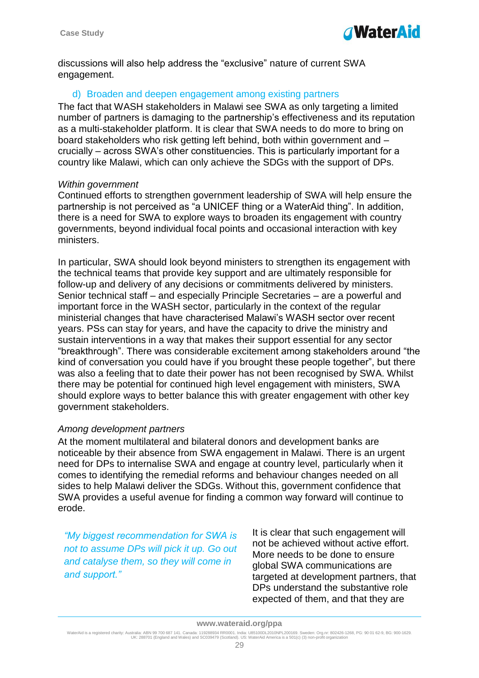

discussions will also help address the "exclusive" nature of current SWA engagement.

#### d) Broaden and deepen engagement among existing partners

The fact that WASH stakeholders in Malawi see SWA as only targeting a limited number of partners is damaging to the partnership's effectiveness and its reputation as a multi-stakeholder platform. It is clear that SWA needs to do more to bring on board stakeholders who risk getting left behind, both within government and – crucially – across SWA's other constituencies. This is particularly important for a country like Malawi, which can only achieve the SDGs with the support of DPs.

#### *Within government*

Continued efforts to strengthen government leadership of SWA will help ensure the partnership is not perceived as "a UNICEF thing or a WaterAid thing". In addition, there is a need for SWA to explore ways to broaden its engagement with country governments, beyond individual focal points and occasional interaction with key ministers.

In particular, SWA should look beyond ministers to strengthen its engagement with the technical teams that provide key support and are ultimately responsible for follow-up and delivery of any decisions or commitments delivered by ministers. Senior technical staff – and especially Principle Secretaries – are a powerful and important force in the WASH sector, particularly in the context of the regular ministerial changes that have characterised Malawi's WASH sector over recent years. PSs can stay for years, and have the capacity to drive the ministry and sustain interventions in a way that makes their support essential for any sector "breakthrough". There was considerable excitement among stakeholders around "the kind of conversation you could have if you brought these people together", but there was also a feeling that to date their power has not been recognised by SWA. Whilst there may be potential for continued high level engagement with ministers, SWA should explore ways to better balance this with greater engagement with other key government stakeholders.

## *Among development partners*

At the moment multilateral and bilateral donors and development banks are noticeable by their absence from SWA engagement in Malawi. There is an urgent need for DPs to internalise SWA and engage at country level, particularly when it comes to identifying the remedial reforms and behaviour changes needed on all sides to help Malawi deliver the SDGs. Without this, government confidence that SWA provides a useful avenue for finding a common way forward will continue to erode.

*"My biggest recommendation for SWA is not to assume DPs will pick it up. Go out and catalyse them, so they will come in and support."* 

It is clear that such engagement will not be achieved without active effort. More needs to be done to ensure global SWA communications are targeted at development partners, that DPs understand the substantive role expected of them, and that they are

WaterAid is a registered charity: Australia: ABN 99 700 687 141. Canada: 119288934 RR0001. India: U85100DL2010NPL200169. Sweden: Org.nr: 802426-1268, PG: 90 01 62-9, BG: 900-1629.<br>UK: 288701 (England and Wales) and SC0394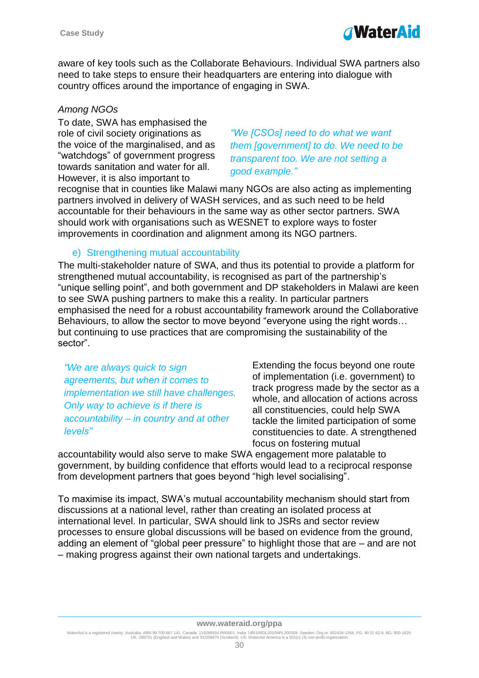

aware of key tools such as the Collaborate Behaviours. Individual SWA partners also need to take steps to ensure their headquarters are entering into dialogue with country offices around the importance of engaging in SWA.

## *Among NGOs*

To date, SWA has emphasised the role of civil society originations as the voice of the marginalised, and as "watchdogs" of government progress towards sanitation and water for all. However, it is also important to

*"We [CSOs] need to do what we want them [government] to do. We need to be transparent too. We are not setting a good example."* 

recognise that in counties like Malawi many NGOs are also acting as implementing partners involved in delivery of WASH services, and as such need to be held accountable for their behaviours in the same way as other sector partners. SWA should work with organisations such as WESNET to explore ways to foster improvements in coordination and alignment among its NGO partners.

## e) Strengthening mutual accountability

The multi-stakeholder nature of SWA, and thus its potential to provide a platform for strengthened mutual accountability, is recognised as part of the partnership's "unique selling point", and both government and DP stakeholders in Malawi are keen to see SWA pushing partners to make this a reality. In particular partners emphasised the need for a robust accountability framework around the Collaborative Behaviours, to allow the sector to move beyond "everyone using the right words… but continuing to use practices that are compromising the sustainability of the sector".

*"We are always quick to sign agreements, but when it comes to implementation we still have challenges. Only way to achieve is if there is accountability – in country and at other levels"* 

Extending the focus beyond one route of implementation (i.e. government) to track progress made by the sector as a whole, and allocation of actions across all constituencies, could help SWA tackle the limited participation of some constituencies to date. A strengthened focus on fostering mutual

accountability would also serve to make SWA engagement more palatable to government, by building confidence that efforts would lead to a reciprocal response from development partners that goes beyond "high level socialising".

To maximise its impact, SWA's mutual accountability mechanism should start from discussions at a national level, rather than creating an isolated process at international level. In particular, SWA should link to JSRs and sector review processes to ensure global discussions will be based on evidence from the ground, adding an element of "global peer pressure" to highlight those that are – and are not – making progress against their own national targets and undertakings.

WaterAid is a registered charity: Australia: ABN 99 700 687 141. Canada: 119288934 RR0001. India: U85100DL2010NPL200169. Sweden: Org.nr: 802426-1268, PG: 90 01 62-9, BG: 900-1629.<br>UK: 288701 (England and Wales) and SC0394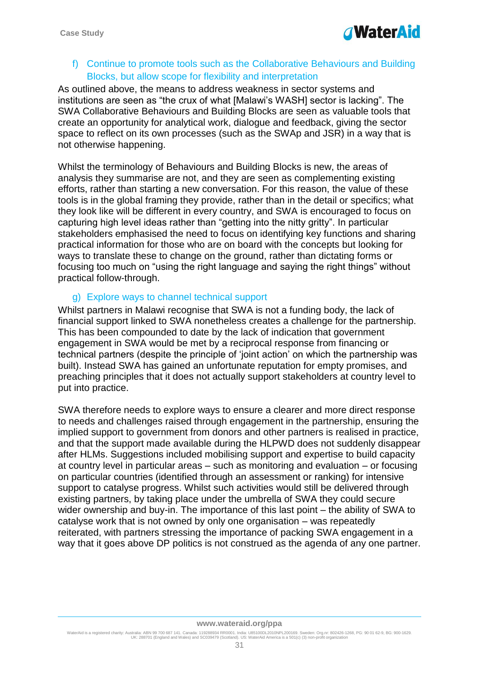

f) Continue to promote tools such as the Collaborative Behaviours and Building Blocks, but allow scope for flexibility and interpretation

As outlined above, the means to address weakness in sector systems and institutions are seen as "the crux of what [Malawi's WASH] sector is lacking". The SWA Collaborative Behaviours and Building Blocks are seen as valuable tools that create an opportunity for analytical work, dialogue and feedback, giving the sector space to reflect on its own processes (such as the SWAp and JSR) in a way that is not otherwise happening.

Whilst the terminology of Behaviours and Building Blocks is new, the areas of analysis they summarise are not, and they are seen as complementing existing efforts, rather than starting a new conversation. For this reason, the value of these tools is in the global framing they provide, rather than in the detail or specifics; what they look like will be different in every country, and SWA is encouraged to focus on capturing high level ideas rather than "getting into the nitty gritty". In particular stakeholders emphasised the need to focus on identifying key functions and sharing practical information for those who are on board with the concepts but looking for ways to translate these to change on the ground, rather than dictating forms or focusing too much on "using the right language and saying the right things" without practical follow-through.

#### g) Explore ways to channel technical support

Whilst partners in Malawi recognise that SWA is not a funding body, the lack of financial support linked to SWA nonetheless creates a challenge for the partnership. This has been compounded to date by the lack of indication that government engagement in SWA would be met by a reciprocal response from financing or technical partners (despite the principle of 'joint action' on which the partnership was built). Instead SWA has gained an unfortunate reputation for empty promises, and preaching principles that it does not actually support stakeholders at country level to put into practice.

SWA therefore needs to explore ways to ensure a clearer and more direct response to needs and challenges raised through engagement in the partnership, ensuring the implied support to government from donors and other partners is realised in practice, and that the support made available during the HLPWD does not suddenly disappear after HLMs. Suggestions included mobilising support and expertise to build capacity at country level in particular areas – such as monitoring and evaluation – or focusing on particular countries (identified through an assessment or ranking) for intensive support to catalyse progress. Whilst such activities would still be delivered through existing partners, by taking place under the umbrella of SWA they could secure wider ownership and buy-in. The importance of this last point – the ability of SWA to catalyse work that is not owned by only one organisation – was repeatedly reiterated, with partners stressing the importance of packing SWA engagement in a way that it goes above DP politics is not construed as the agenda of any one partner.

WaterAid is a registered charity: Australia: ABN 99 700 687 141. Canada: 119288934 RR0001. India: U85100DL2010NPL200169. Sweden: Org.nr: 802426-1268, PG: 90 01 62-9, BG: 900-1629.<br>UK: 288701 (England and Wales) and SC0394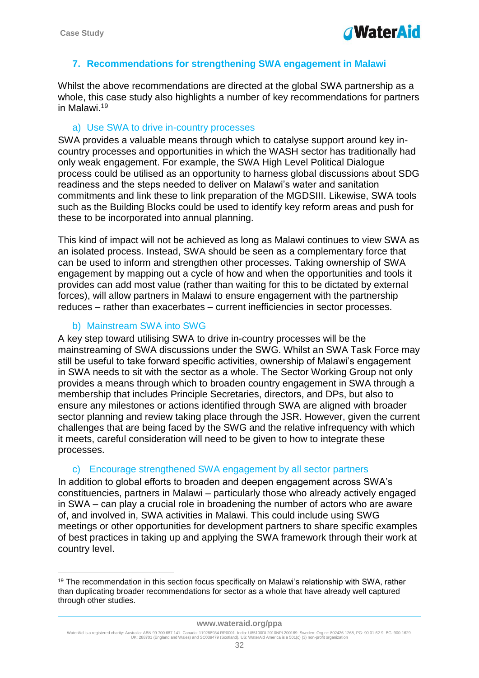

## <span id="page-31-0"></span>**7. Recommendations for strengthening SWA engagement in Malawi**

Whilst the above recommendations are directed at the global SWA partnership as a whole, this case study also highlights a number of key recommendations for partners in Malawi. 19

#### a) Use SWA to drive in-country processes

SWA provides a valuable means through which to catalyse support around key incountry processes and opportunities in which the WASH sector has traditionally had only weak engagement. For example, the SWA High Level Political Dialogue process could be utilised as an opportunity to harness global discussions about SDG readiness and the steps needed to deliver on Malawi's water and sanitation commitments and link these to link preparation of the MGDSIII. Likewise, SWA tools such as the Building Blocks could be used to identify key reform areas and push for these to be incorporated into annual planning.

This kind of impact will not be achieved as long as Malawi continues to view SWA as an isolated process. Instead, SWA should be seen as a complementary force that can be used to inform and strengthen other processes. Taking ownership of SWA engagement by mapping out a cycle of how and when the opportunities and tools it provides can add most value (rather than waiting for this to be dictated by external forces), will allow partners in Malawi to ensure engagement with the partnership reduces – rather than exacerbates – current inefficiencies in sector processes.

## b) Mainstream SWA into SWG

1

A key step toward utilising SWA to drive in-country processes will be the mainstreaming of SWA discussions under the SWG. Whilst an SWA Task Force may still be useful to take forward specific activities, ownership of Malawi's engagement in SWA needs to sit with the sector as a whole. The Sector Working Group not only provides a means through which to broaden country engagement in SWA through a membership that includes Principle Secretaries, directors, and DPs, but also to ensure any milestones or actions identified through SWA are aligned with broader sector planning and review taking place through the JSR. However, given the current challenges that are being faced by the SWG and the relative infrequency with which it meets, careful consideration will need to be given to how to integrate these processes.

## c) Encourage strengthened SWA engagement by all sector partners

In addition to global efforts to broaden and deepen engagement across SWA's constituencies, partners in Malawi – particularly those who already actively engaged in SWA – can play a crucial role in broadening the number of actors who are aware of, and involved in, SWA activities in Malawi. This could include using SWG meetings or other opportunities for development partners to share specific examples of best practices in taking up and applying the SWA framework through their work at country level.

<sup>&</sup>lt;sup>19</sup> The recommendation in this section focus specifically on Malawi's relationship with SWA, rather than duplicating broader recommendations for sector as a whole that have already well captured through other studies.

WaterAid is a registered charity: Australia: ABN 99 700 687 141. Canada: 119288934 RR0001. India: U85100DL2010NPL200169. Sweden: Org.nr: 802426-1268, PG: 90 01 62-9, BG: 900-1629.<br>UK: 288701 (England and Wales) and SC0394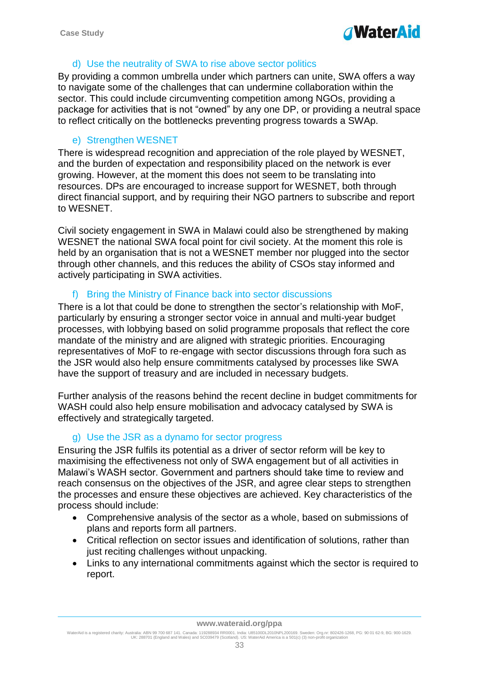# **WaterAid**

## d) Use the neutrality of SWA to rise above sector politics

By providing a common umbrella under which partners can unite, SWA offers a way to navigate some of the challenges that can undermine collaboration within the sector. This could include circumventing competition among NGOs, providing a package for activities that is not "owned" by any one DP, or providing a neutral space to reflect critically on the bottlenecks preventing progress towards a SWAp.

# e) Strengthen WESNET

There is widespread recognition and appreciation of the role played by WESNET, and the burden of expectation and responsibility placed on the network is ever growing. However, at the moment this does not seem to be translating into resources. DPs are encouraged to increase support for WESNET, both through direct financial support, and by requiring their NGO partners to subscribe and report to WESNET.

Civil society engagement in SWA in Malawi could also be strengthened by making WESNET the national SWA focal point for civil society. At the moment this role is held by an organisation that is not a WESNET member nor plugged into the sector through other channels, and this reduces the ability of CSOs stay informed and actively participating in SWA activities.

## f) Bring the Ministry of Finance back into sector discussions

There is a lot that could be done to strengthen the sector's relationship with MoF, particularly by ensuring a stronger sector voice in annual and multi-year budget processes, with lobbying based on solid programme proposals that reflect the core mandate of the ministry and are aligned with strategic priorities. Encouraging representatives of MoF to re-engage with sector discussions through fora such as the JSR would also help ensure commitments catalysed by processes like SWA have the support of treasury and are included in necessary budgets.

Further analysis of the reasons behind the recent decline in budget commitments for WASH could also help ensure mobilisation and advocacy catalysed by SWA is effectively and strategically targeted.

# g) Use the JSR as a dynamo for sector progress

Ensuring the JSR fulfils its potential as a driver of sector reform will be key to maximising the effectiveness not only of SWA engagement but of all activities in Malawi's WASH sector. Government and partners should take time to review and reach consensus on the objectives of the JSR, and agree clear steps to strengthen the processes and ensure these objectives are achieved. Key characteristics of the process should include:

- Comprehensive analysis of the sector as a whole, based on submissions of plans and reports form all partners.
- Critical reflection on sector issues and identification of solutions, rather than just reciting challenges without unpacking.
- Links to any international commitments against which the sector is required to report.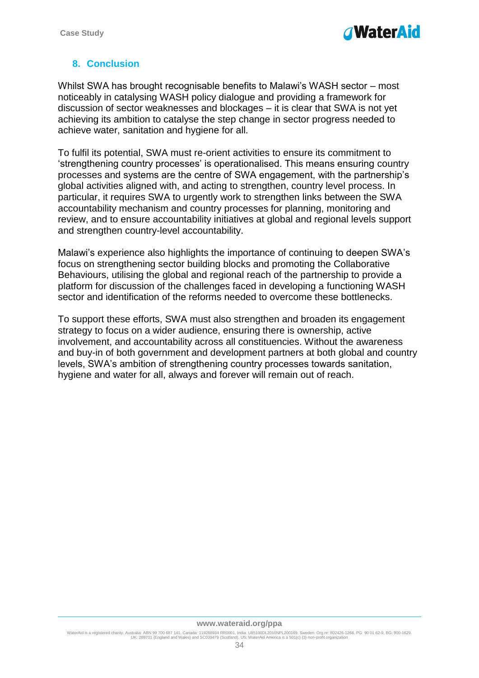

# <span id="page-33-0"></span>**8. Conclusion**

Whilst SWA has brought recognisable benefits to Malawi's WASH sector – most noticeably in catalysing WASH policy dialogue and providing a framework for discussion of sector weaknesses and blockages – it is clear that SWA is not yet achieving its ambition to catalyse the step change in sector progress needed to achieve water, sanitation and hygiene for all.

To fulfil its potential, SWA must re-orient activities to ensure its commitment to 'strengthening country processes' is operationalised. This means ensuring country processes and systems are the centre of SWA engagement, with the partnership's global activities aligned with, and acting to strengthen, country level process. In particular, it requires SWA to urgently work to strengthen links between the SWA accountability mechanism and country processes for planning, monitoring and review, and to ensure accountability initiatives at global and regional levels support and strengthen country-level accountability.

Malawi's experience also highlights the importance of continuing to deepen SWA's focus on strengthening sector building blocks and promoting the Collaborative Behaviours, utilising the global and regional reach of the partnership to provide a platform for discussion of the challenges faced in developing a functioning WASH sector and identification of the reforms needed to overcome these bottlenecks.

To support these efforts, SWA must also strengthen and broaden its engagement strategy to focus on a wider audience, ensuring there is ownership, active involvement, and accountability across all constituencies. Without the awareness and buy-in of both government and development partners at both global and country levels, SWA's ambition of strengthening country processes towards sanitation, hygiene and water for all, always and forever will remain out of reach.

#### **www.wateraid.org/ppa**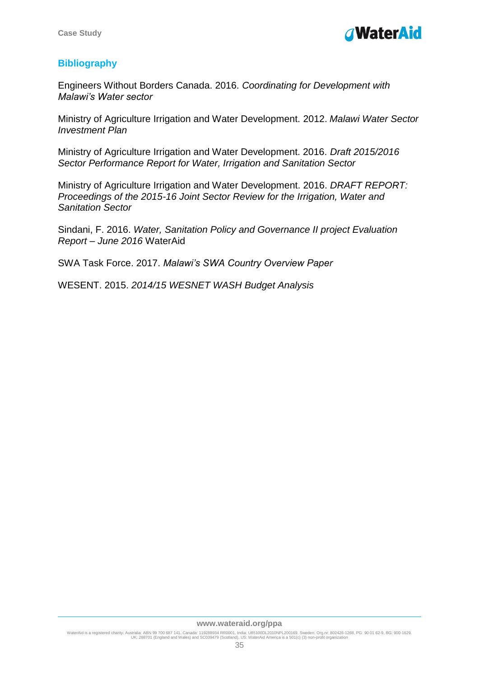# <span id="page-34-0"></span>**Bibliography**

Engineers Without Borders Canada. 2016. *Coordinating for Development with Malawi's Water sector* 

Ministry of Agriculture Irrigation and Water Development. 2012. *Malawi Water Sector Investment Plan*

Ministry of Agriculture Irrigation and Water Development. 2016. *Draft 2015/2016 Sector Performance Report for Water, Irrigation and Sanitation Sector*

Ministry of Agriculture Irrigation and Water Development. 2016. *DRAFT REPORT: Proceedings of the 2015-16 Joint Sector Review for the Irrigation, Water and Sanitation Sector* 

Sindani, F. 2016. *Water, Sanitation Policy and Governance II project Evaluation Report – June 2016* WaterAid

SWA Task Force. 2017. *Malawi's SWA Country Overview Paper*

WESENT. 2015. *2014/15 WESNET WASH Budget Analysis*

#### **www.wateraid.org/ppa**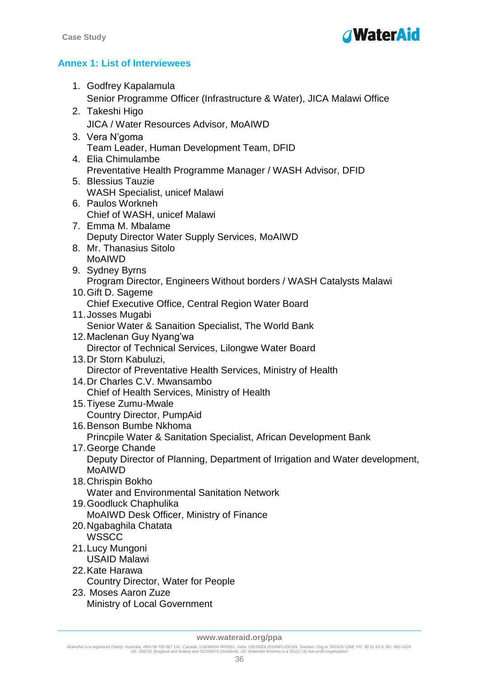

# <span id="page-35-0"></span>**Annex 1: List of Interviewees**

| 1. Godfrey Kapalamula                                                                  |
|----------------------------------------------------------------------------------------|
| Senior Programme Officer (Infrastructure & Water), JICA Malawi Office                  |
| 2. Takeshi Higo                                                                        |
| <b>JICA / Water Resources Advisor, MoAIWD</b>                                          |
| 3. Vera N'goma                                                                         |
| Team Leader, Human Development Team, DFID                                              |
| 4. Elia Chimulambe                                                                     |
| Preventative Health Programme Manager / WASH Advisor, DFID                             |
| 5. Blessius Tauzie                                                                     |
| <b>WASH Specialist, unicef Malawi</b><br>6. Paulos Workneh                             |
| Chief of WASH, unicef Malawi                                                           |
| 7. Emma M. Mbalame                                                                     |
| Deputy Director Water Supply Services, MoAIWD                                          |
| 8. Mr. Thanasius Sitolo                                                                |
| <b>MoAIWD</b>                                                                          |
| 9. Sydney Byrns                                                                        |
| Program Director, Engineers Without borders / WASH Catalysts Malawi                    |
| 10. Gift D. Sageme                                                                     |
| Chief Executive Office, Central Region Water Board                                     |
| 11. Josses Mugabi<br>Senior Water & Sanaition Specialist, The World Bank               |
| 12. Maclenan Guy Nyang'wa                                                              |
| Director of Technical Services, Lilongwe Water Board                                   |
| 13. Dr Storn Kabuluzi,                                                                 |
| Director of Preventative Health Services, Ministry of Health                           |
| 14. Dr Charles C.V. Mwansambo                                                          |
| Chief of Health Services, Ministry of Health                                           |
| 15. Tiyese Zumu-Mwale                                                                  |
| <b>Country Director, PumpAid</b>                                                       |
| 16. Benson Bumbe Nkhoma                                                                |
| Princpile Water & Sanitation Specialist, African Development Bank<br>17. George Chande |
| Deputy Director of Planning, Department of Irrigation and Water development,           |
| <b>MoAIWD</b>                                                                          |
| 18. Chrispin Bokho                                                                     |
| <b>Water and Environmental Sanitation Network</b>                                      |
| 19. Goodluck Chaphulika                                                                |
| MoAIWD Desk Officer, Ministry of Finance                                               |
| 20. Ngabaghila Chatata                                                                 |
| <b>WSSCC</b>                                                                           |
| 21. Lucy Mungoni                                                                       |
| <b>USAID Malawi</b><br>22. Kate Harawa                                                 |
| Country Director, Water for People                                                     |
| 23. Moses Aaron Zuze                                                                   |
| Ministry of Local Government                                                           |

WaterAid is a registered charity: Australia: ABN 99 700 687 141. Canada: 119288934 RR0001. India: U85100DL2010NPL200169. Sweden: Org.nr: 802426-1268, PG: 90 01 62-9, BG: 900-1629.<br>UK: 288701 (England and Wales) and SC0394